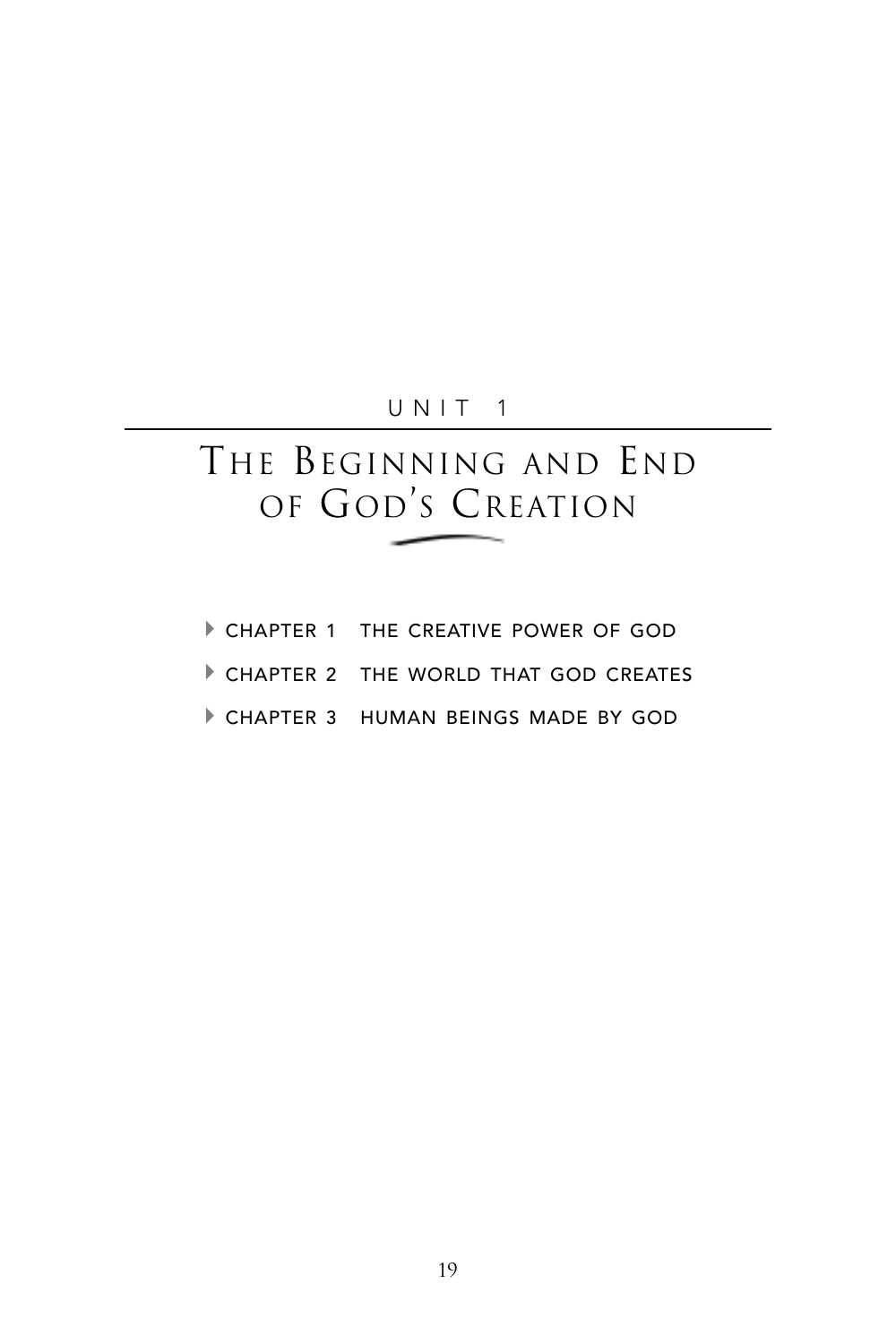## UNIT 1

# THE BEGINNING AND END OF GOD'S CREATION

- CHAPTER 1 THE CREATIVE POWER OF GOD
- A CHAPTER 2 THE WORLD THAT GOD CREATES
- A CHAPTER 3 HUMAN BEINGS MADE BY GOD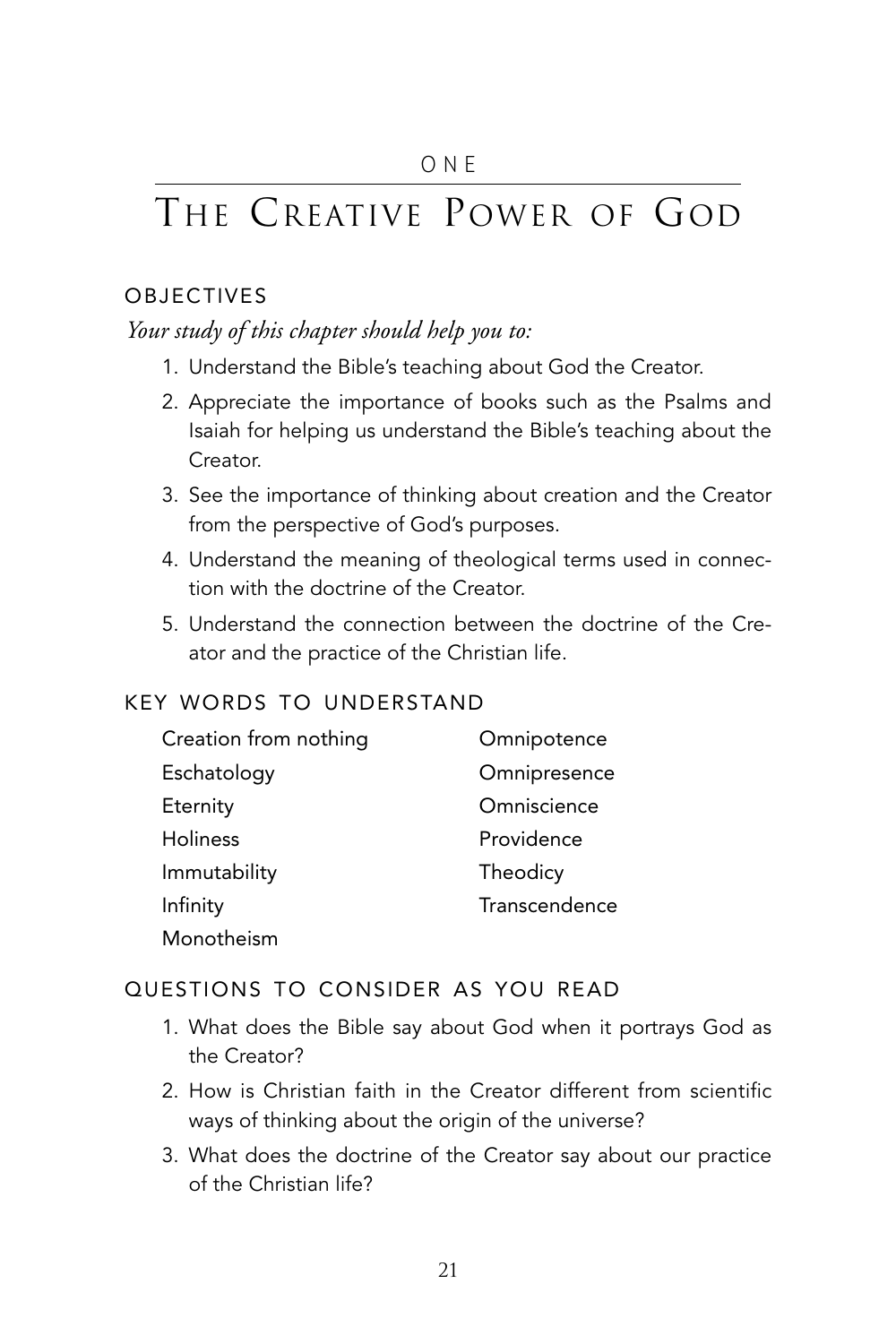# THE CREATIVE POWER OF GOD

### **OBJECTIVES**

## *Your study of this chapter should help you to:*

- 1. Understand the Bible's teaching about God the Creator.
- 2. Appreciate the importance of books such as the Psalms and Isaiah for helping us understand the Bible's teaching about the Creator.
- 3. See the importance of thinking about creation and the Creator from the perspective of God's purposes.
- 4. Understand the meaning of theological terms used in connection with the doctrine of the Creator.
- 5. Understand the connection between the doctrine of the Creator and the practice of the Christian life.

## KEY WORDS TO UNDERSTAND

| Creation from nothing | Omnipotence   |
|-----------------------|---------------|
| Eschatology           | Omnipresence  |
| Eternity              | Omniscience   |
| <b>Holiness</b>       | Providence    |
| Immutability          | Theodicy      |
| Infinity              | Transcendence |
| Monotheism            |               |

## QUESTIONS TO CONSIDER AS YOU READ

- 1. What does the Bible say about God when it portrays God as the Creator?
- 2. How is Christian faith in the Creator different from scientific ways of thinking about the origin of the universe?
- 3. What does the doctrine of the Creator say about our practice of the Christian life?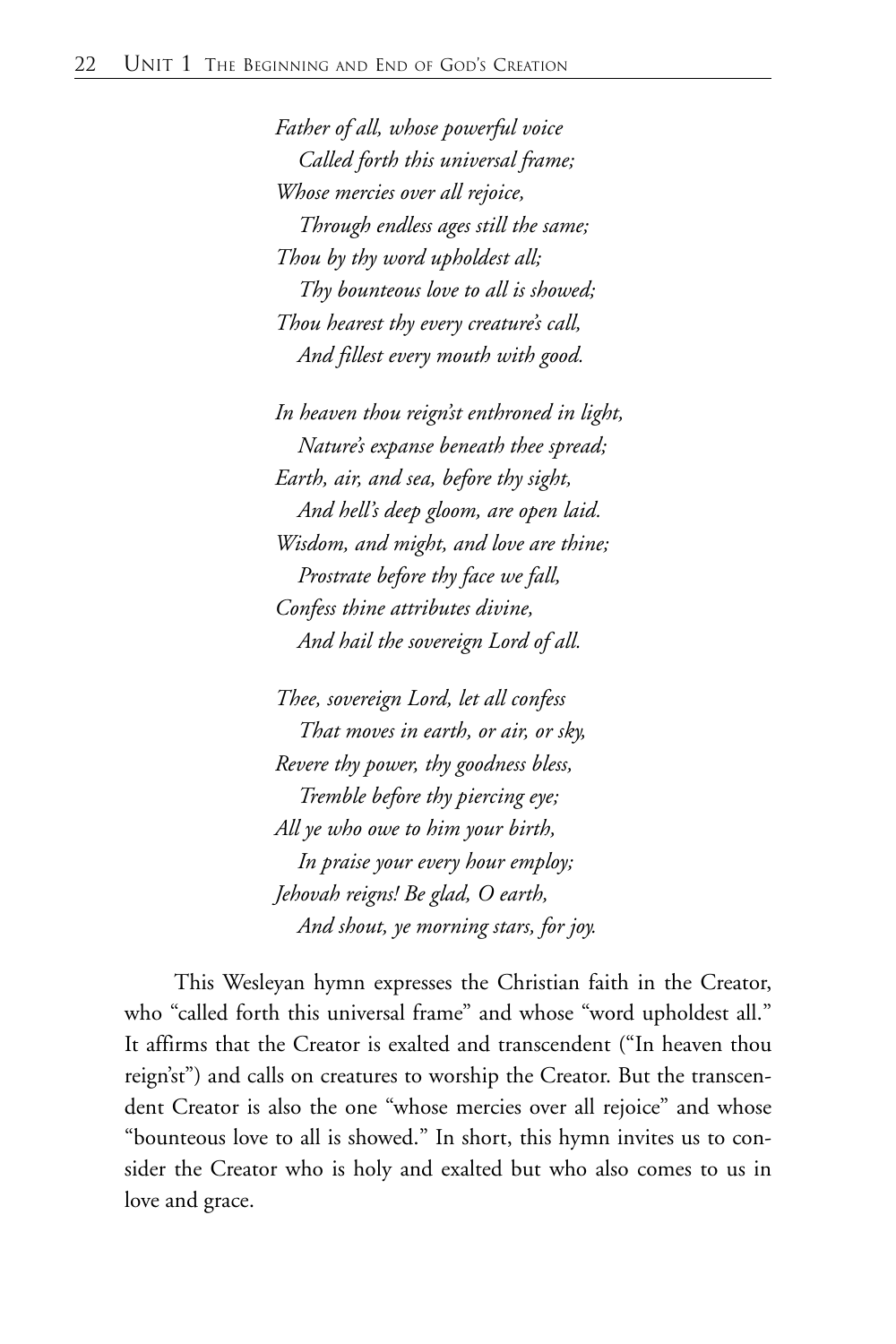*Father of all, whose powerful voice Called forth this universal frame; Whose mercies over all rejoice, Through endless ages still the same; Thou by thy word upholdest all; Thy bounteous love to all is showed; Thou hearest thy every creature's call, And fillest every mouth with good.*

*In heaven thou reign'st enthroned in light, Nature's expanse beneath thee spread; Earth, air, and sea, before thy sight, And hell's deep gloom, are open laid. Wisdom, and might, and love are thine; Prostrate before thy face we fall, Confess thine attributes divine, And hail the sovereign Lord of all.*

*Thee, sovereign Lord, let all confess That moves in earth, or air, or sky, Revere thy power, thy goodness bless, Tremble before thy piercing eye; All ye who owe to him your birth, In praise your every hour employ; Jehovah reigns! Be glad, O earth, And shout, ye morning stars, for joy.*

This Wesleyan hymn expresses the Christian faith in the Creator, who "called forth this universal frame" and whose "word upholdest all." It affirms that the Creator is exalted and transcendent ("In heaven thou reign'st") and calls on creatures to worship the Creator. But the transcendent Creator is also the one "whose mercies over all rejoice" and whose "bounteous love to all is showed." In short, this hymn invites us to consider the Creator who is holy and exalted but who also comes to us in love and grace.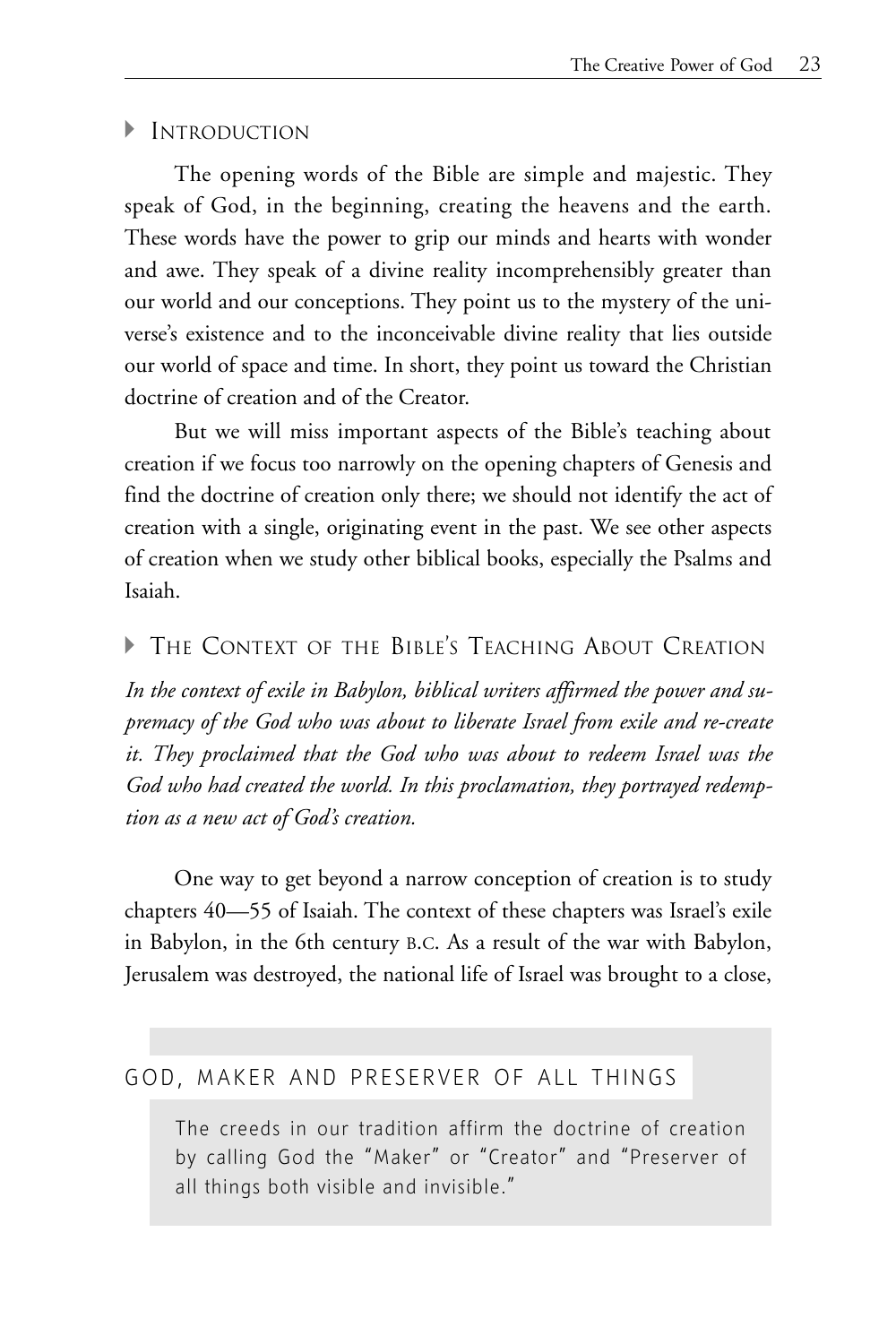#### $\blacktriangleright$  Introduction

The opening words of the Bible are simple and majestic. They speak of God, in the beginning, creating the heavens and the earth. These words have the power to grip our minds and hearts with wonder and awe. They speak of a divine reality incomprehensibly greater than our world and our conceptions. They point us to the mystery of the universe's existence and to the inconceivable divine reality that lies outside our world of space and time. In short, they point us toward the Christian doctrine of creation and of the Creator.

But we will miss important aspects of the Bible's teaching about creation if we focus too narrowly on the opening chapters of Genesis and find the doctrine of creation only there; we should not identify the act of creation with a single, originating event in the past. We see other aspects of creation when we study other biblical books, especially the Psalms and Isaiah.

#### A THE CONTEXT OF THE BIBLE'S TEACHING ABOUT CREATION

*In the context of exile in Babylon, biblical writers affirmed the power and supremacy of the God who was about to liberate Israel from exile and re-create it. They proclaimed that the God who was about to redeem Israel was the God who had created the world. In this proclamation, they portrayed redemption as a new act of God's creation.*

One way to get beyond a narrow conception of creation is to study chapters 40—55 of Isaiah. The context of these chapters was Israel's exile in Babylon, in the 6th century B.C. As a result of the war with Babylon, Jerusalem was destroyed, the national life of Israel was brought to a close,

## GOD, MAKER AND PRESERVER OF ALL THINGS

The creeds in our tradition affirm the doctrine of creation by calling God the "Maker" or "Creator" and "Preserver of all things both visible and invisible."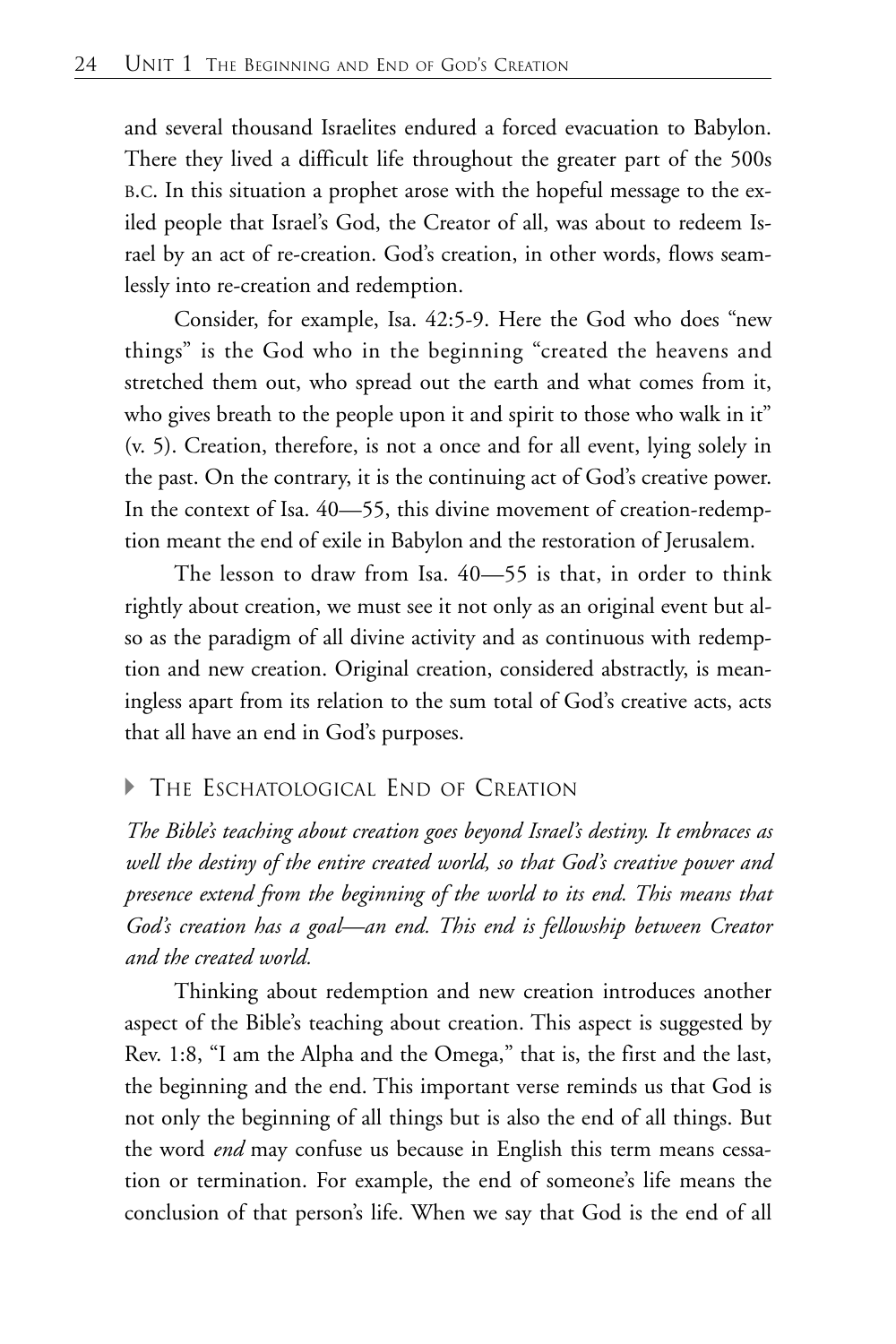and several thousand Israelites endured a forced evacuation to Babylon. There they lived a difficult life throughout the greater part of the 500s B.C. In this situation a prophet arose with the hopeful message to the exiled people that Israel's God, the Creator of all, was about to redeem Israel by an act of re-creation. God's creation, in other words, flows seamlessly into re-creation and redemption.

Consider, for example, Isa. 42:5-9. Here the God who does "new things" is the God who in the beginning "created the heavens and stretched them out, who spread out the earth and what comes from it, who gives breath to the people upon it and spirit to those who walk in it" (v. 5). Creation, therefore, is not a once and for all event, lying solely in the past. On the contrary, it is the continuing act of God's creative power. In the context of Isa. 40—55, this divine movement of creation-redemption meant the end of exile in Babylon and the restoration of Jerusalem.

The lesson to draw from Isa. 40—55 is that, in order to think rightly about creation, we must see it not only as an original event but also as the paradigm of all divine activity and as continuous with redemption and new creation. Original creation, considered abstractly, is meaningless apart from its relation to the sum total of God's creative acts, acts that all have an end in God's purposes.

## THE ESCHATOLOGICAL END OF CREATION

*The Bible's teaching about creation goes beyond Israel's destiny. It embraces as well the destiny of the entire created world, so that God's creative power and presence extend from the beginning of the world to its end. This means that God's creation has a goal—an end. This end is fellowship between Creator and the created world.*

Thinking about redemption and new creation introduces another aspect of the Bible's teaching about creation. This aspect is suggested by Rev. 1:8, "I am the Alpha and the Omega," that is, the first and the last, the beginning and the end. This important verse reminds us that God is not only the beginning of all things but is also the end of all things. But the word *end* may confuse us because in English this term means cessation or termination. For example, the end of someone's life means the conclusion of that person's life. When we say that God is the end of all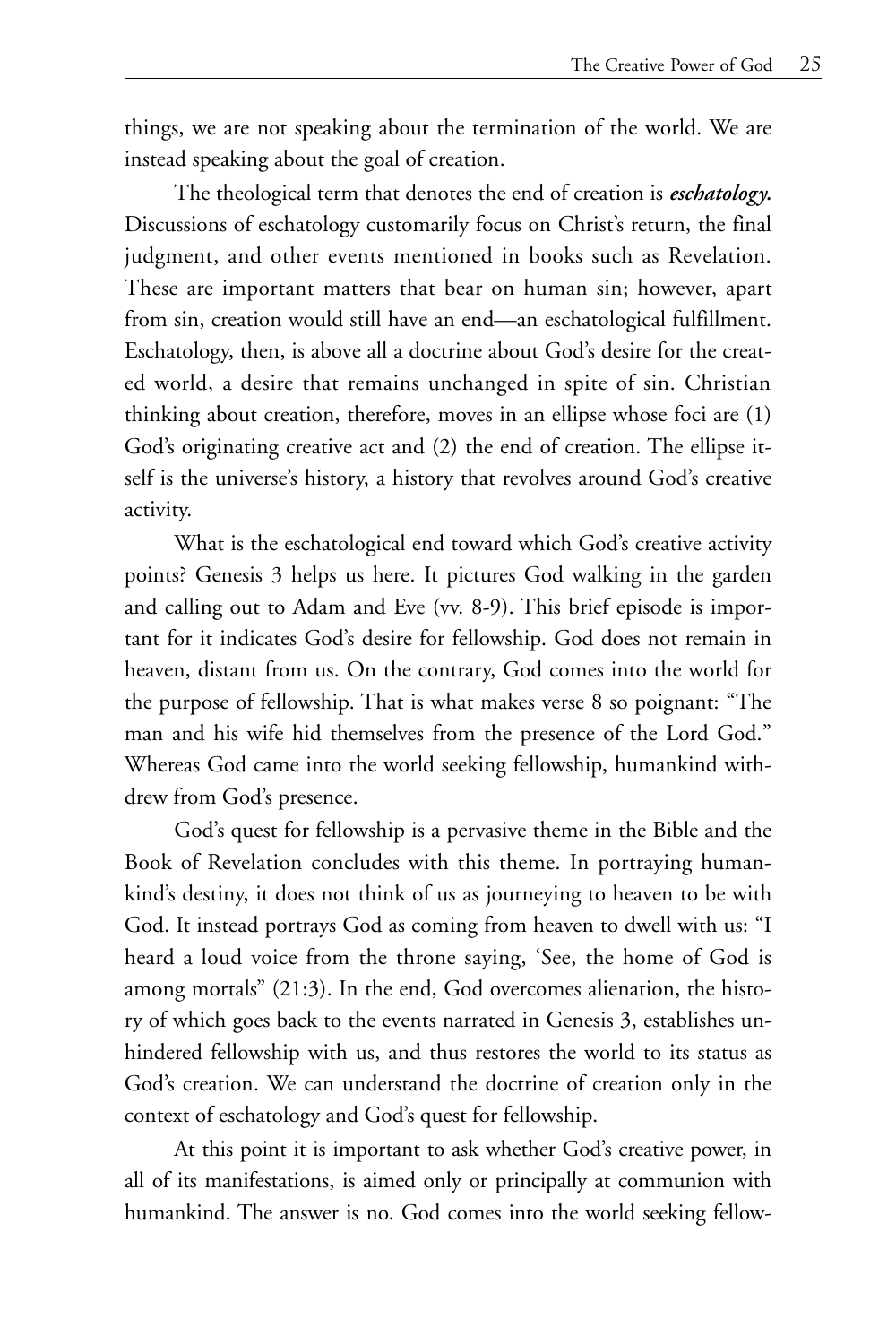things, we are not speaking about the termination of the world. We are instead speaking about the goal of creation.

The theological term that denotes the end of creation is *eschatology.* Discussions of eschatology customarily focus on Christ's return, the final judgment, and other events mentioned in books such as Revelation. These are important matters that bear on human sin; however, apart from sin, creation would still have an end—an eschatological fulfillment. Eschatology, then, is above all a doctrine about God's desire for the created world, a desire that remains unchanged in spite of sin. Christian thinking about creation, therefore, moves in an ellipse whose foci are (1) God's originating creative act and (2) the end of creation. The ellipse itself is the universe's history, a history that revolves around God's creative activity.

What is the eschatological end toward which God's creative activity points? Genesis 3 helps us here. It pictures God walking in the garden and calling out to Adam and Eve (vv. 8-9). This brief episode is important for it indicates God's desire for fellowship. God does not remain in heaven, distant from us. On the contrary, God comes into the world for the purpose of fellowship. That is what makes verse 8 so poignant: "The man and his wife hid themselves from the presence of the Lord God." Whereas God came into the world seeking fellowship, humankind withdrew from God's presence.

God's quest for fellowship is a pervasive theme in the Bible and the Book of Revelation concludes with this theme. In portraying humankind's destiny, it does not think of us as journeying to heaven to be with God. It instead portrays God as coming from heaven to dwell with us: "I heard a loud voice from the throne saying, 'See, the home of God is among mortals" (21:3). In the end, God overcomes alienation, the history of which goes back to the events narrated in Genesis 3, establishes unhindered fellowship with us, and thus restores the world to its status as God's creation. We can understand the doctrine of creation only in the context of eschatology and God's quest for fellowship.

At this point it is important to ask whether God's creative power, in all of its manifestations, is aimed only or principally at communion with humankind. The answer is no. God comes into the world seeking fellow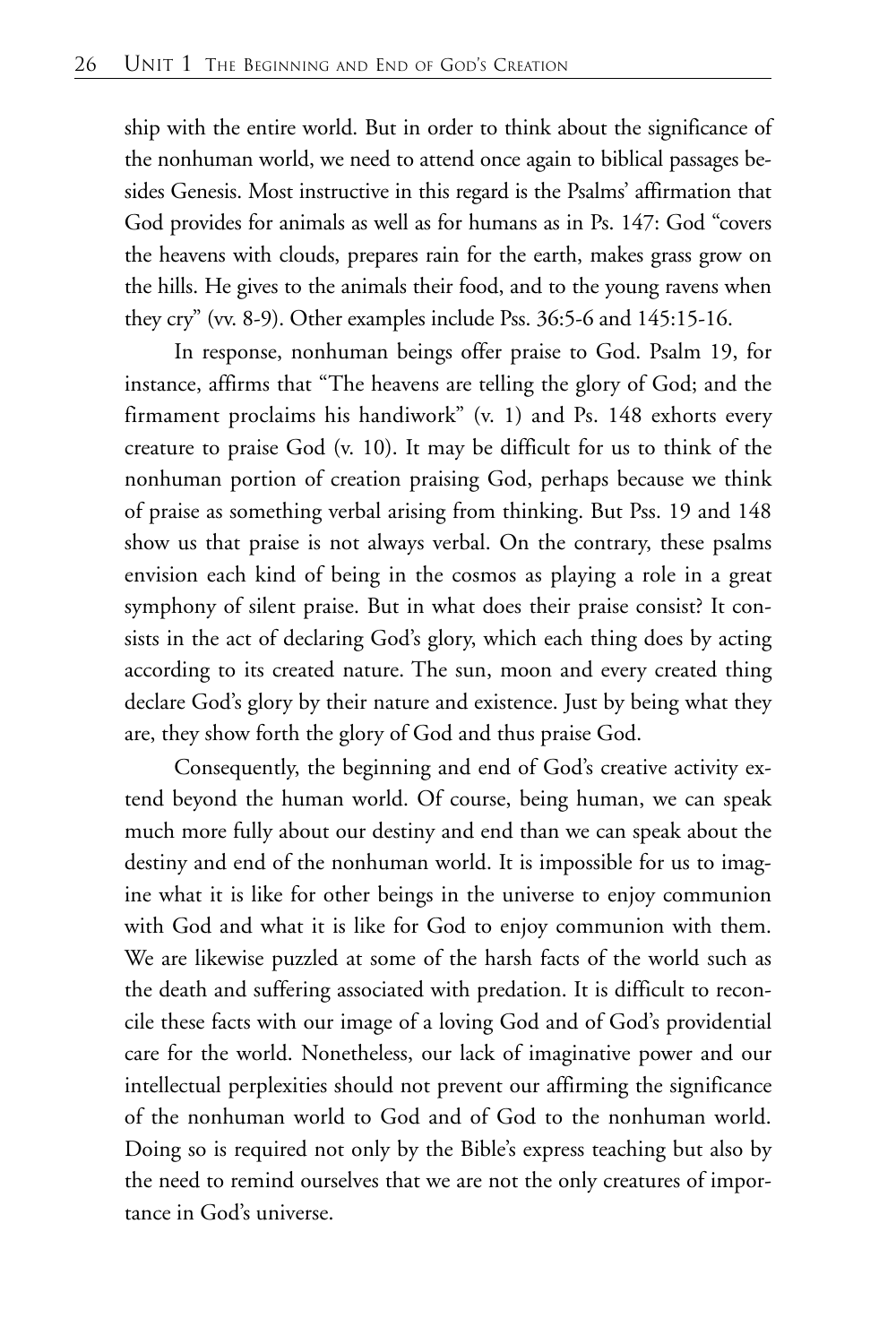ship with the entire world. But in order to think about the significance of the nonhuman world, we need to attend once again to biblical passages besides Genesis. Most instructive in this regard is the Psalms' affirmation that God provides for animals as well as for humans as in Ps. 147: God "covers the heavens with clouds, prepares rain for the earth, makes grass grow on the hills. He gives to the animals their food, and to the young ravens when they cry" (vv. 8-9). Other examples include Pss. 36:5-6 and 145:15-16.

In response, nonhuman beings offer praise to God. Psalm 19, for instance, affirms that "The heavens are telling the glory of God; and the firmament proclaims his handiwork" (v. 1) and Ps. 148 exhorts every creature to praise God (v. 10). It may be difficult for us to think of the nonhuman portion of creation praising God, perhaps because we think of praise as something verbal arising from thinking. But Pss. 19 and 148 show us that praise is not always verbal. On the contrary, these psalms envision each kind of being in the cosmos as playing a role in a great symphony of silent praise. But in what does their praise consist? It consists in the act of declaring God's glory, which each thing does by acting according to its created nature. The sun, moon and every created thing declare God's glory by their nature and existence. Just by being what they are, they show forth the glory of God and thus praise God.

Consequently, the beginning and end of God's creative activity extend beyond the human world. Of course, being human, we can speak much more fully about our destiny and end than we can speak about the destiny and end of the nonhuman world. It is impossible for us to imagine what it is like for other beings in the universe to enjoy communion with God and what it is like for God to enjoy communion with them. We are likewise puzzled at some of the harsh facts of the world such as the death and suffering associated with predation. It is difficult to reconcile these facts with our image of a loving God and of God's providential care for the world. Nonetheless, our lack of imaginative power and our intellectual perplexities should not prevent our affirming the significance of the nonhuman world to God and of God to the nonhuman world. Doing so is required not only by the Bible's express teaching but also by the need to remind ourselves that we are not the only creatures of importance in God's universe.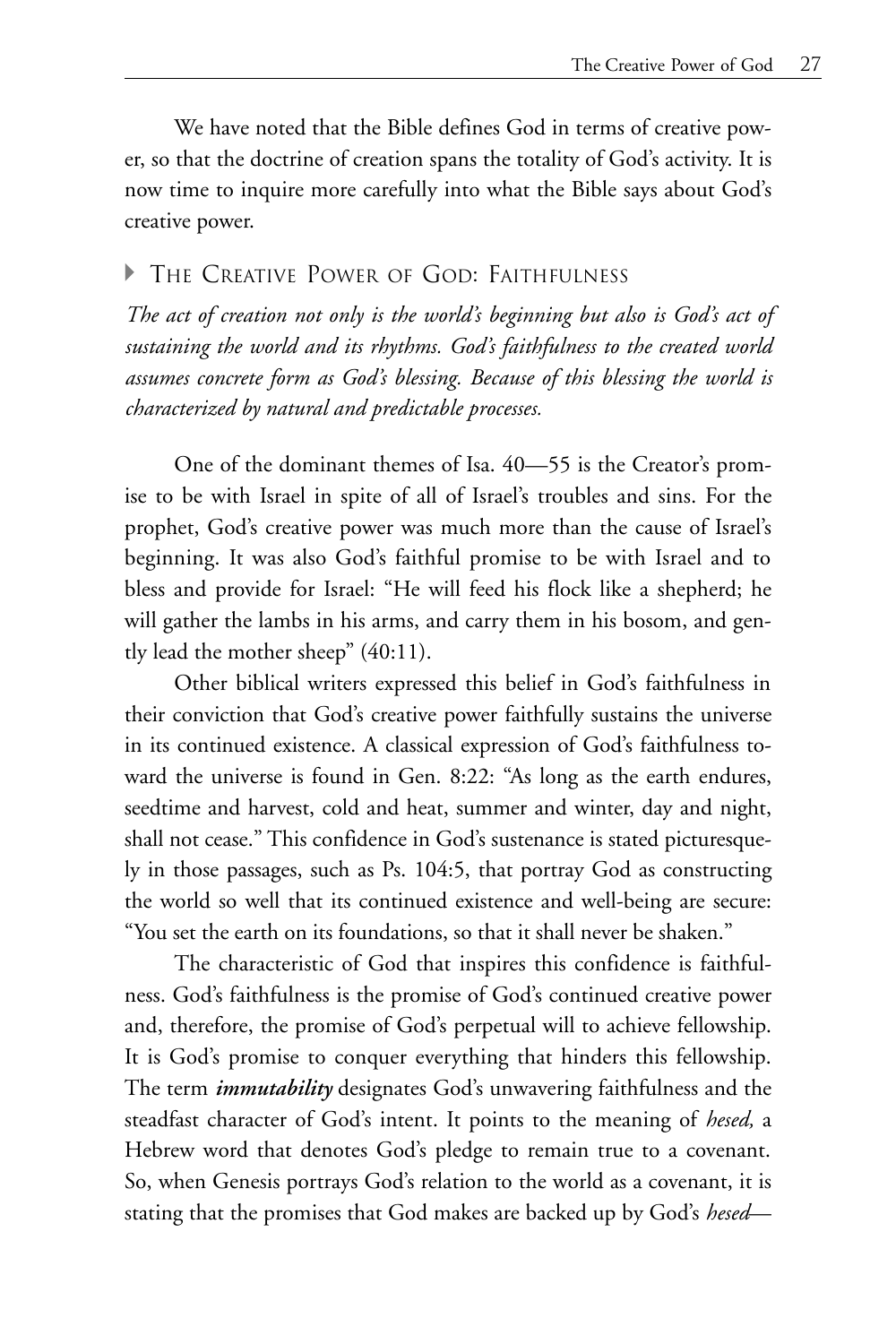We have noted that the Bible defines God in terms of creative power, so that the doctrine of creation spans the totality of God's activity. It is now time to inquire more carefully into what the Bible says about God's creative power.

#### A THE CREATIVE POWER OF GOD: FAITHFULNESS

*The act of creation not only is the world's beginning but also is God's act of sustaining the world and its rhythms. God's faithfulness to the created world assumes concrete form as God's blessing. Because of this blessing the world is characterized by natural and predictable processes.*

One of the dominant themes of Isa. 40—55 is the Creator's promise to be with Israel in spite of all of Israel's troubles and sins. For the prophet, God's creative power was much more than the cause of Israel's beginning. It was also God's faithful promise to be with Israel and to bless and provide for Israel: "He will feed his flock like a shepherd; he will gather the lambs in his arms, and carry them in his bosom, and gently lead the mother sheep" (40:11).

Other biblical writers expressed this belief in God's faithfulness in their conviction that God's creative power faithfully sustains the universe in its continued existence. A classical expression of God's faithfulness toward the universe is found in Gen. 8:22: "As long as the earth endures, seedtime and harvest, cold and heat, summer and winter, day and night, shall not cease." This confidence in God's sustenance is stated picturesquely in those passages, such as Ps. 104:5, that portray God as constructing the world so well that its continued existence and well-being are secure: "You set the earth on its foundations, so that it shall never be shaken."

The characteristic of God that inspires this confidence is faithfulness. God's faithfulness is the promise of God's continued creative power and, therefore, the promise of God's perpetual will to achieve fellowship. It is God's promise to conquer everything that hinders this fellowship. The term *immutability* designates God's unwavering faithfulness and the steadfast character of God's intent. It points to the meaning of *hesed,* a Hebrew word that denotes God's pledge to remain true to a covenant. So, when Genesis portrays God's relation to the world as a covenant, it is stating that the promises that God makes are backed up by God's *hesed*—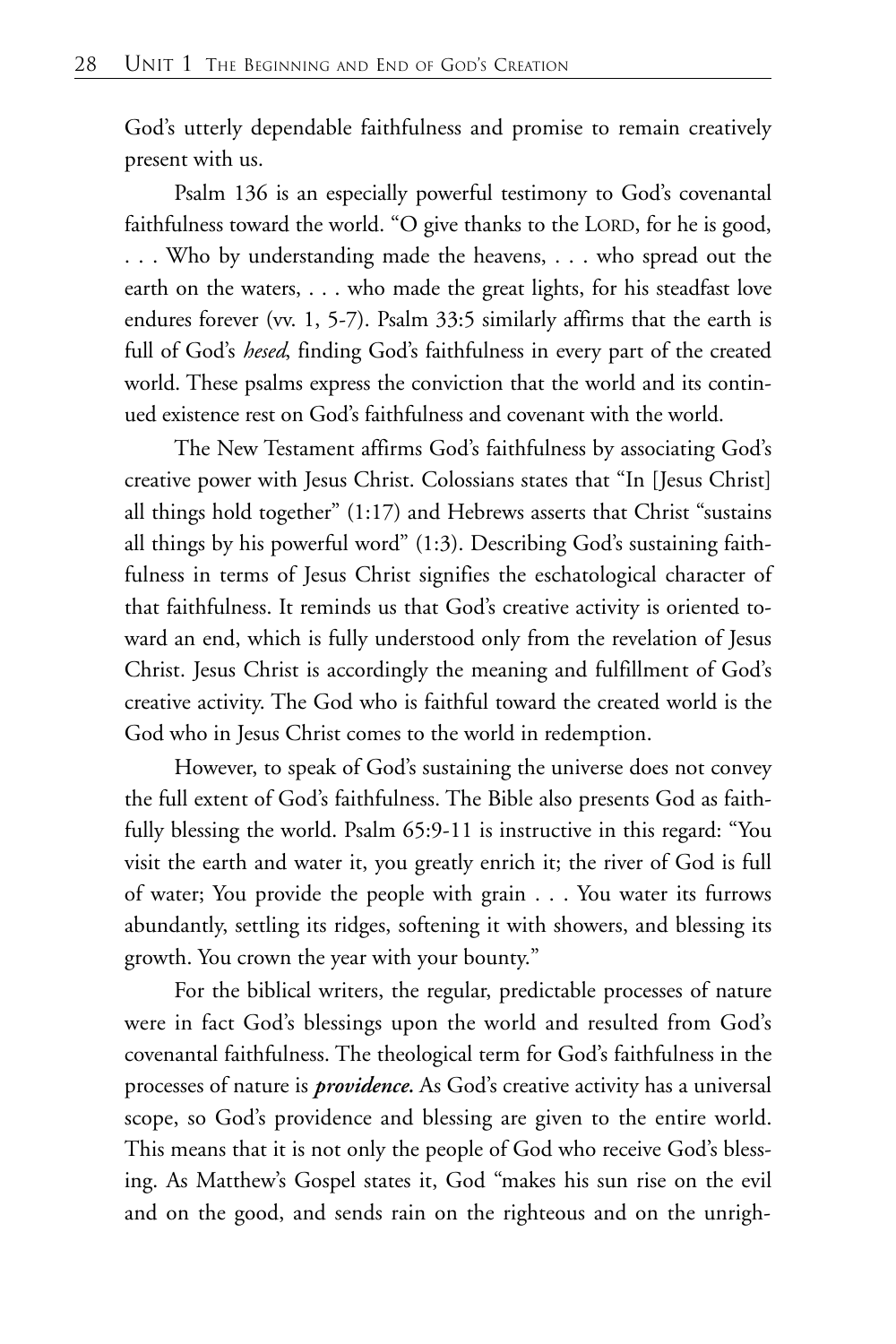God's utterly dependable faithfulness and promise to remain creatively present with us.

Psalm 136 is an especially powerful testimony to God's covenantal faithfulness toward the world. "O give thanks to the LORD, for he is good, . . . Who by understanding made the heavens, . . . who spread out the earth on the waters, . . . who made the great lights, for his steadfast love endures forever (vv. 1, 5-7). Psalm 33:5 similarly affirms that the earth is full of God's *hesed*, finding God's faithfulness in every part of the created world. These psalms express the conviction that the world and its continued existence rest on God's faithfulness and covenant with the world.

The New Testament affirms God's faithfulness by associating God's creative power with Jesus Christ. Colossians states that "In [Jesus Christ] all things hold together" (1:17) and Hebrews asserts that Christ "sustains all things by his powerful word" (1:3). Describing God's sustaining faithfulness in terms of Jesus Christ signifies the eschatological character of that faithfulness. It reminds us that God's creative activity is oriented toward an end, which is fully understood only from the revelation of Jesus Christ. Jesus Christ is accordingly the meaning and fulfillment of God's creative activity. The God who is faithful toward the created world is the God who in Jesus Christ comes to the world in redemption.

However, to speak of God's sustaining the universe does not convey the full extent of God's faithfulness. The Bible also presents God as faithfully blessing the world. Psalm 65:9-11 is instructive in this regard: "You visit the earth and water it, you greatly enrich it; the river of God is full of water; You provide the people with grain . . . You water its furrows abundantly, settling its ridges, softening it with showers, and blessing its growth. You crown the year with your bounty."

For the biblical writers, the regular, predictable processes of nature were in fact God's blessings upon the world and resulted from God's covenantal faithfulness. The theological term for God's faithfulness in the processes of nature is *providence.* As God's creative activity has a universal scope, so God's providence and blessing are given to the entire world. This means that it is not only the people of God who receive God's blessing. As Matthew's Gospel states it, God "makes his sun rise on the evil and on the good, and sends rain on the righteous and on the unrigh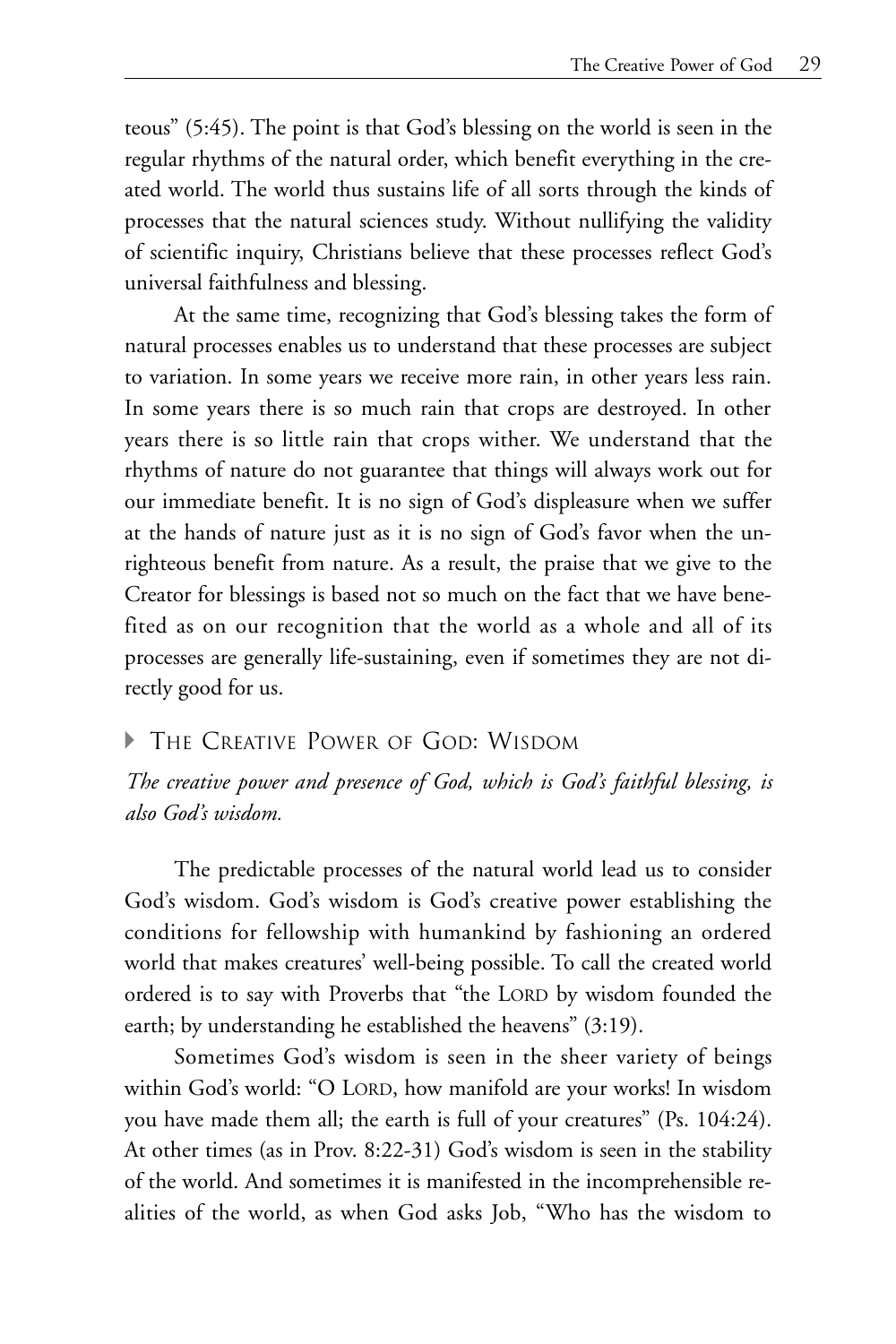teous" (5:45). The point is that God's blessing on the world is seen in the regular rhythms of the natural order, which benefit everything in the created world. The world thus sustains life of all sorts through the kinds of processes that the natural sciences study. Without nullifying the validity of scientific inquiry, Christians believe that these processes reflect God's universal faithfulness and blessing.

At the same time, recognizing that God's blessing takes the form of natural processes enables us to understand that these processes are subject to variation. In some years we receive more rain, in other years less rain. In some years there is so much rain that crops are destroyed. In other years there is so little rain that crops wither. We understand that the rhythms of nature do not guarantee that things will always work out for our immediate benefit. It is no sign of God's displeasure when we suffer at the hands of nature just as it is no sign of God's favor when the unrighteous benefit from nature. As a result, the praise that we give to the Creator for blessings is based not so much on the fact that we have benefited as on our recognition that the world as a whole and all of its processes are generally life-sustaining, even if sometimes they are not directly good for us.

#### **FILE CREATIVE POWER OF GOD: WISDOM**

*The creative power and presence of God, which is God's faithful blessing, is also God's wisdom.*

The predictable processes of the natural world lead us to consider God's wisdom. God's wisdom is God's creative power establishing the conditions for fellowship with humankind by fashioning an ordered world that makes creatures' well-being possible. To call the created world ordered is to say with Proverbs that "the LORD by wisdom founded the earth; by understanding he established the heavens" (3:19).

Sometimes God's wisdom is seen in the sheer variety of beings within God's world: "O LORD, how manifold are your works! In wisdom you have made them all; the earth is full of your creatures" (Ps. 104:24). At other times (as in Prov. 8:22-31) God's wisdom is seen in the stability of the world. And sometimes it is manifested in the incomprehensible realities of the world, as when God asks Job, "Who has the wisdom to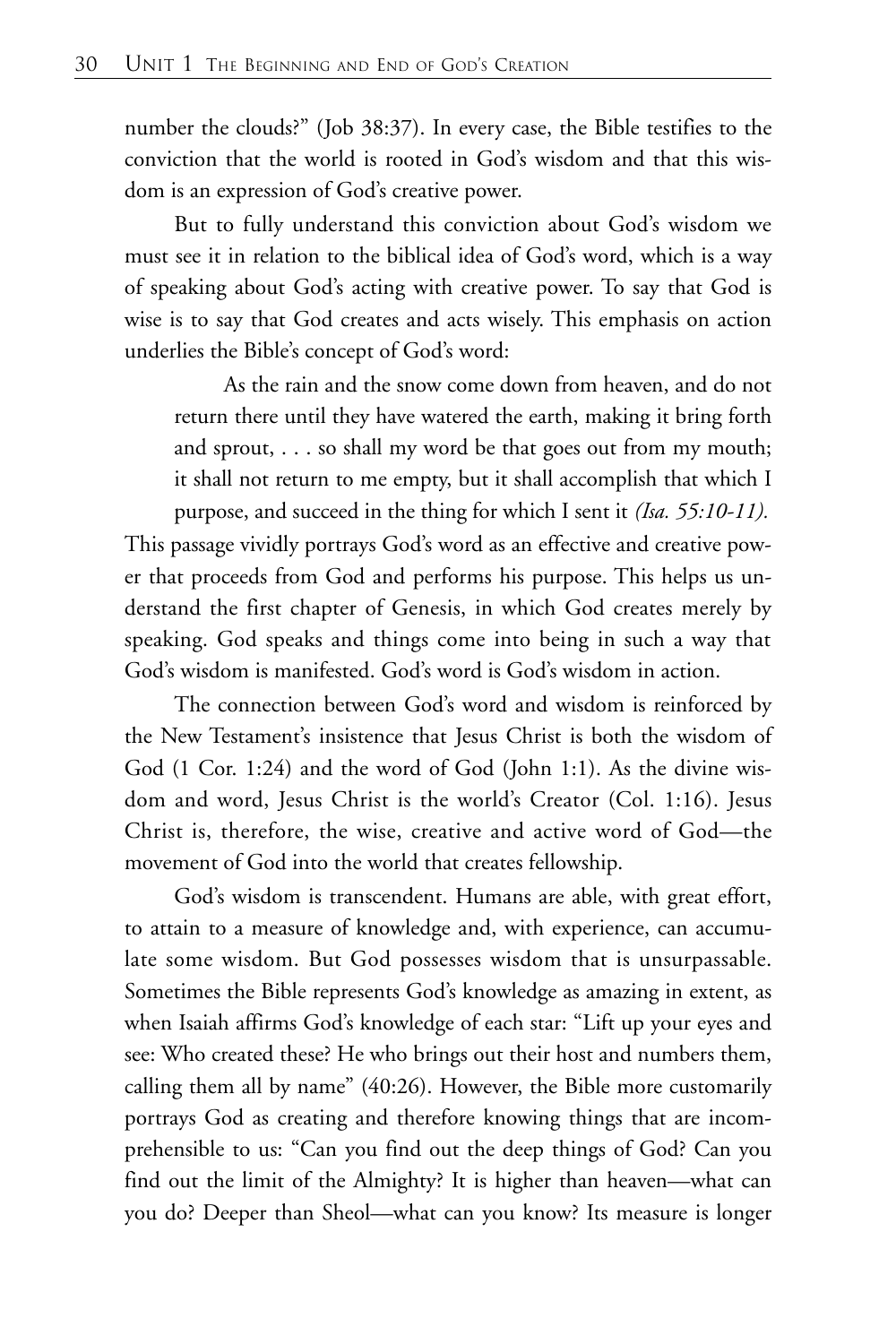number the clouds?" (Job 38:37). In every case, the Bible testifies to the conviction that the world is rooted in God's wisdom and that this wisdom is an expression of God's creative power.

But to fully understand this conviction about God's wisdom we must see it in relation to the biblical idea of God's word, which is a way of speaking about God's acting with creative power. To say that God is wise is to say that God creates and acts wisely. This emphasis on action underlies the Bible's concept of God's word:

As the rain and the snow come down from heaven, and do not return there until they have watered the earth, making it bring forth and sprout, . . . so shall my word be that goes out from my mouth; it shall not return to me empty, but it shall accomplish that which I purpose, and succeed in the thing for which I sent it *(Isa. 55:10-11).*

This passage vividly portrays God's word as an effective and creative power that proceeds from God and performs his purpose. This helps us understand the first chapter of Genesis, in which God creates merely by speaking. God speaks and things come into being in such a way that God's wisdom is manifested. God's word is God's wisdom in action.

The connection between God's word and wisdom is reinforced by the New Testament's insistence that Jesus Christ is both the wisdom of God (1 Cor. 1:24) and the word of God (John 1:1). As the divine wisdom and word, Jesus Christ is the world's Creator (Col. 1:16). Jesus Christ is, therefore, the wise, creative and active word of God—the movement of God into the world that creates fellowship.

God's wisdom is transcendent. Humans are able, with great effort, to attain to a measure of knowledge and, with experience, can accumulate some wisdom. But God possesses wisdom that is unsurpassable. Sometimes the Bible represents God's knowledge as amazing in extent, as when Isaiah affirms God's knowledge of each star: "Lift up your eyes and see: Who created these? He who brings out their host and numbers them, calling them all by name" (40:26). However, the Bible more customarily portrays God as creating and therefore knowing things that are incomprehensible to us: "Can you find out the deep things of God? Can you find out the limit of the Almighty? It is higher than heaven—what can you do? Deeper than Sheol—what can you know? Its measure is longer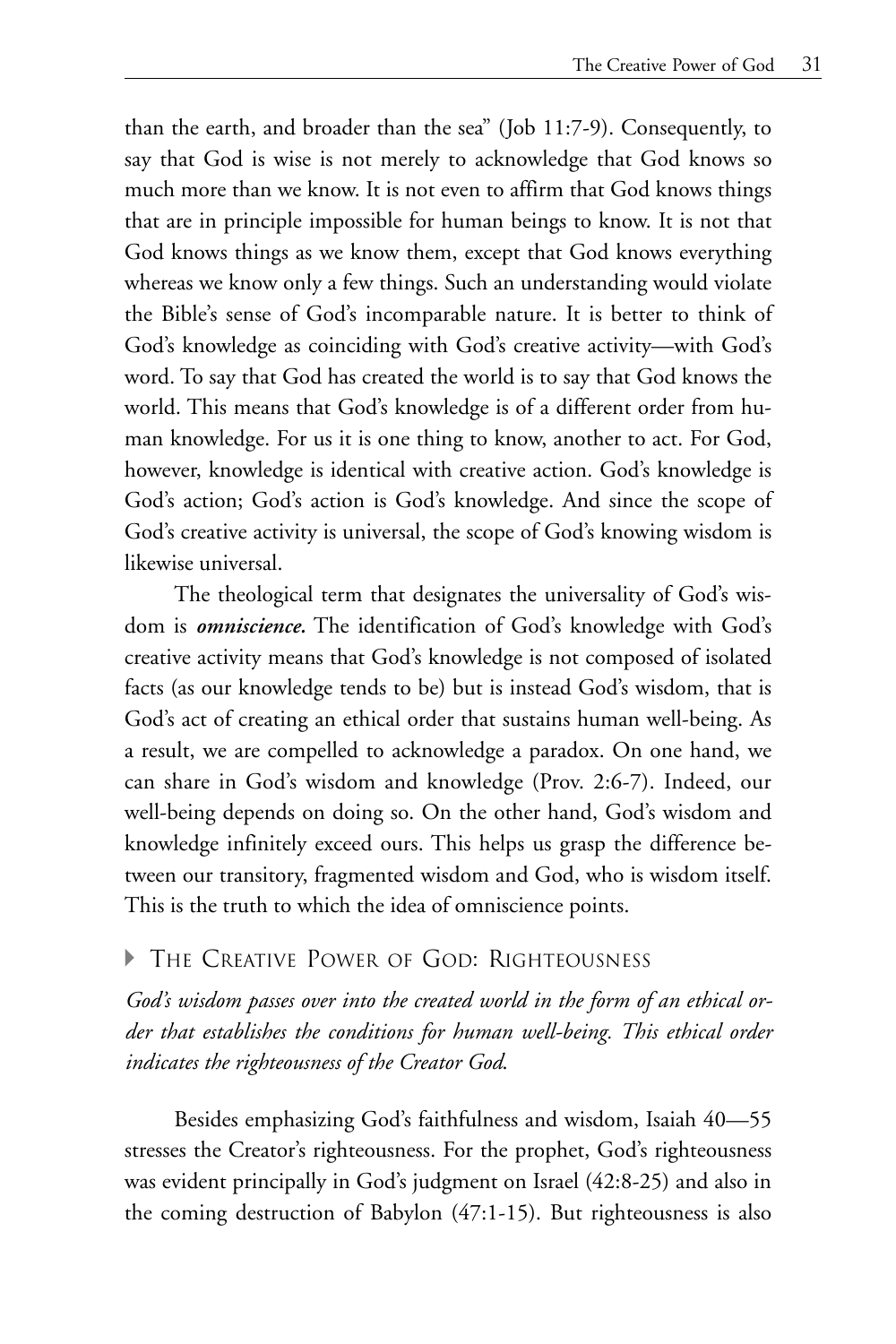than the earth, and broader than the sea" (Job 11:7-9). Consequently, to say that God is wise is not merely to acknowledge that God knows so much more than we know. It is not even to affirm that God knows things that are in principle impossible for human beings to know. It is not that God knows things as we know them, except that God knows everything whereas we know only a few things. Such an understanding would violate the Bible's sense of God's incomparable nature. It is better to think of God's knowledge as coinciding with God's creative activity—with God's word. To say that God has created the world is to say that God knows the world. This means that God's knowledge is of a different order from human knowledge. For us it is one thing to know, another to act. For God, however, knowledge is identical with creative action. God's knowledge is God's action; God's action is God's knowledge. And since the scope of God's creative activity is universal, the scope of God's knowing wisdom is likewise universal.

The theological term that designates the universality of God's wisdom is *omniscience.* The identification of God's knowledge with God's creative activity means that God's knowledge is not composed of isolated facts (as our knowledge tends to be) but is instead God's wisdom, that is God's act of creating an ethical order that sustains human well-being. As a result, we are compelled to acknowledge a paradox. On one hand, we can share in God's wisdom and knowledge (Prov. 2:6-7). Indeed, our well-being depends on doing so. On the other hand, God's wisdom and knowledge infinitely exceed ours. This helps us grasp the difference between our transitory, fragmented wisdom and God, who is wisdom itself. This is the truth to which the idea of omniscience points.

#### A THE CREATIVE POWER OF GOD: RIGHTEOUSNESS

*God's wisdom passes over into the created world in the form of an ethical order that establishes the conditions for human well-being. This ethical order indicates the righteousness of the Creator God*.

Besides emphasizing God's faithfulness and wisdom, Isaiah 40—55 stresses the Creator's righteousness. For the prophet, God's righteousness was evident principally in God's judgment on Israel (42:8-25) and also in the coming destruction of Babylon (47:1-15). But righteousness is also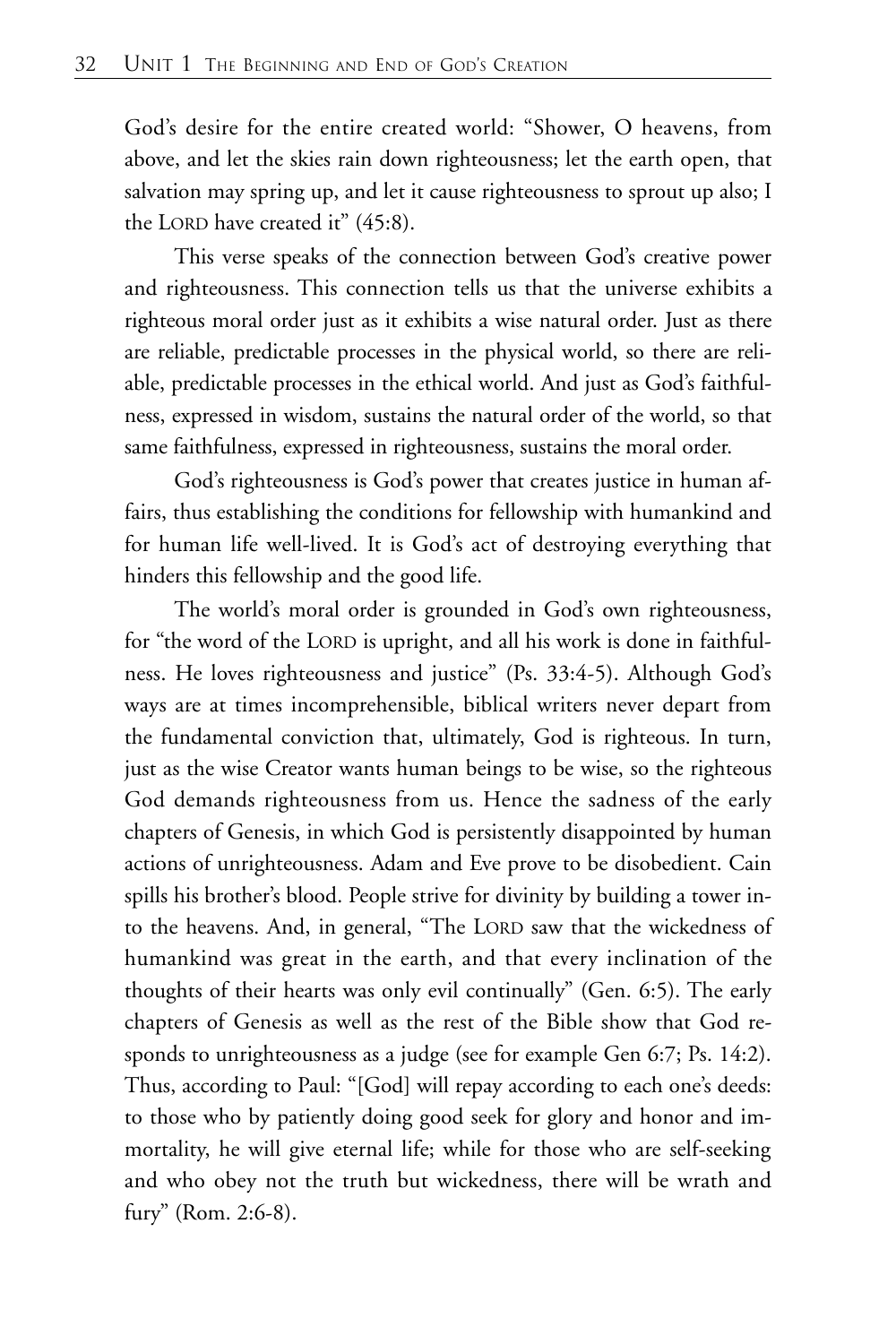God's desire for the entire created world: "Shower, O heavens, from above, and let the skies rain down righteousness; let the earth open, that salvation may spring up, and let it cause righteousness to sprout up also; I the LORD have created it" (45:8).

This verse speaks of the connection between God's creative power and righteousness. This connection tells us that the universe exhibits a righteous moral order just as it exhibits a wise natural order. Just as there are reliable, predictable processes in the physical world, so there are reliable, predictable processes in the ethical world. And just as God's faithfulness, expressed in wisdom, sustains the natural order of the world, so that same faithfulness, expressed in righteousness, sustains the moral order.

God's righteousness is God's power that creates justice in human affairs, thus establishing the conditions for fellowship with humankind and for human life well-lived. It is God's act of destroying everything that hinders this fellowship and the good life.

The world's moral order is grounded in God's own righteousness, for "the word of the LORD is upright, and all his work is done in faithfulness. He loves righteousness and justice" (Ps. 33:4-5). Although God's ways are at times incomprehensible, biblical writers never depart from the fundamental conviction that, ultimately, God is righteous. In turn, just as the wise Creator wants human beings to be wise, so the righteous God demands righteousness from us. Hence the sadness of the early chapters of Genesis, in which God is persistently disappointed by human actions of unrighteousness. Adam and Eve prove to be disobedient. Cain spills his brother's blood. People strive for divinity by building a tower into the heavens. And, in general, "The LORD saw that the wickedness of humankind was great in the earth, and that every inclination of the thoughts of their hearts was only evil continually" (Gen. 6:5). The early chapters of Genesis as well as the rest of the Bible show that God responds to unrighteousness as a judge (see for example Gen 6:7; Ps. 14:2). Thus, according to Paul: "[God] will repay according to each one's deeds: to those who by patiently doing good seek for glory and honor and immortality, he will give eternal life; while for those who are self-seeking and who obey not the truth but wickedness, there will be wrath and fury" (Rom. 2:6-8).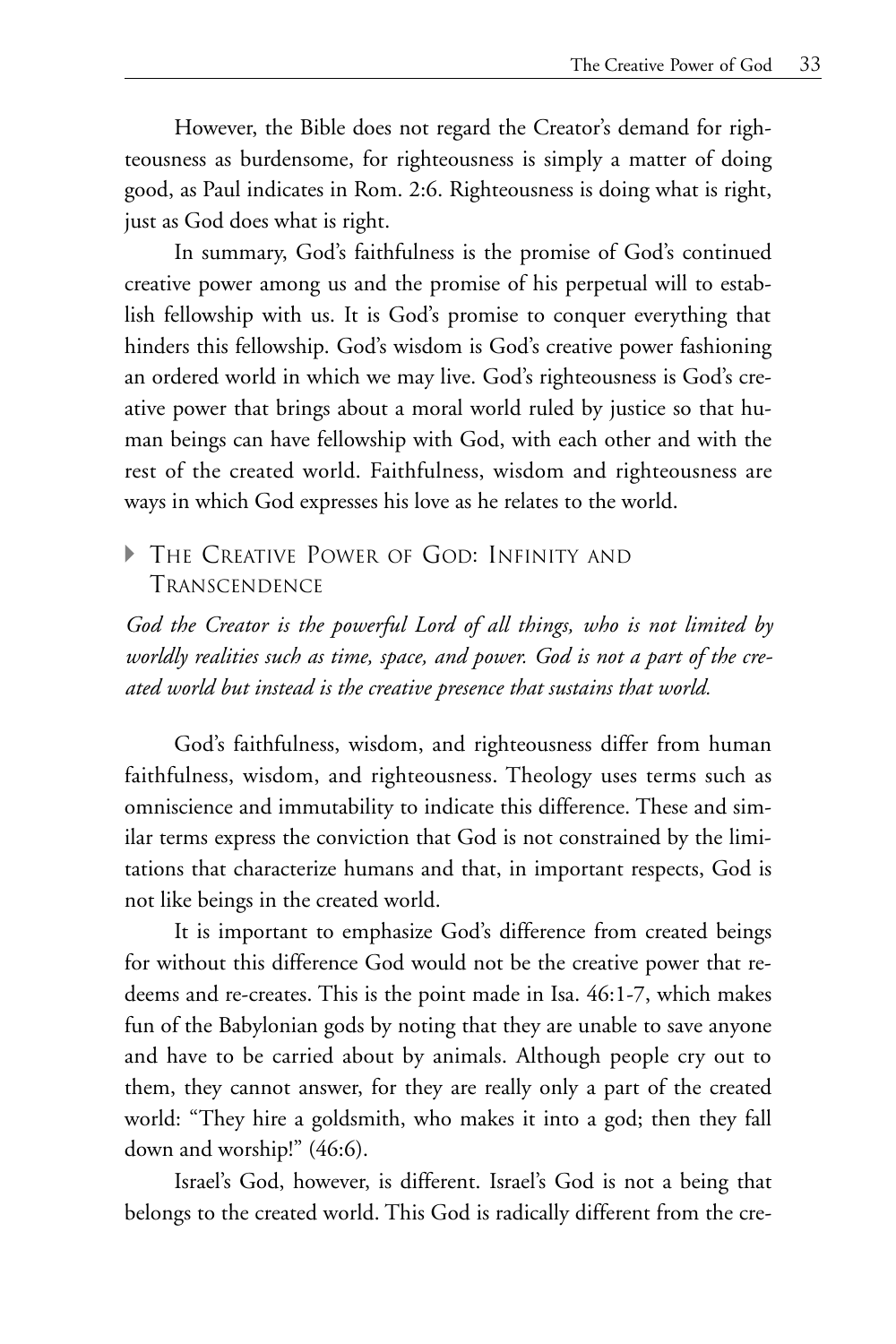However, the Bible does not regard the Creator's demand for righteousness as burdensome, for righteousness is simply a matter of doing good, as Paul indicates in Rom. 2:6. Righteousness is doing what is right, just as God does what is right.

In summary, God's faithfulness is the promise of God's continued creative power among us and the promise of his perpetual will to establish fellowship with us. It is God's promise to conquer everything that hinders this fellowship. God's wisdom is God's creative power fashioning an ordered world in which we may live. God's righteousness is God's creative power that brings about a moral world ruled by justice so that human beings can have fellowship with God, with each other and with the rest of the created world. Faithfulness, wisdom and righteousness are ways in which God expresses his love as he relates to the world.

## A THE CREATIVE POWER OF GOD: INFINITY AND **TRANSCENDENCE**

*God the Creator is the powerful Lord of all things, who is not limited by worldly realities such as time, space, and power. God is not a part of the created world but instead is the creative presence that sustains that world.*

God's faithfulness, wisdom, and righteousness differ from human faithfulness, wisdom, and righteousness. Theology uses terms such as omniscience and immutability to indicate this difference. These and similar terms express the conviction that God is not constrained by the limitations that characterize humans and that, in important respects, God is not like beings in the created world.

It is important to emphasize God's difference from created beings for without this difference God would not be the creative power that redeems and re-creates. This is the point made in Isa. 46:1-7, which makes fun of the Babylonian gods by noting that they are unable to save anyone and have to be carried about by animals. Although people cry out to them, they cannot answer, for they are really only a part of the created world: "They hire a goldsmith, who makes it into a god; then they fall down and worship!" (46:6).

Israel's God, however, is different. Israel's God is not a being that belongs to the created world. This God is radically different from the cre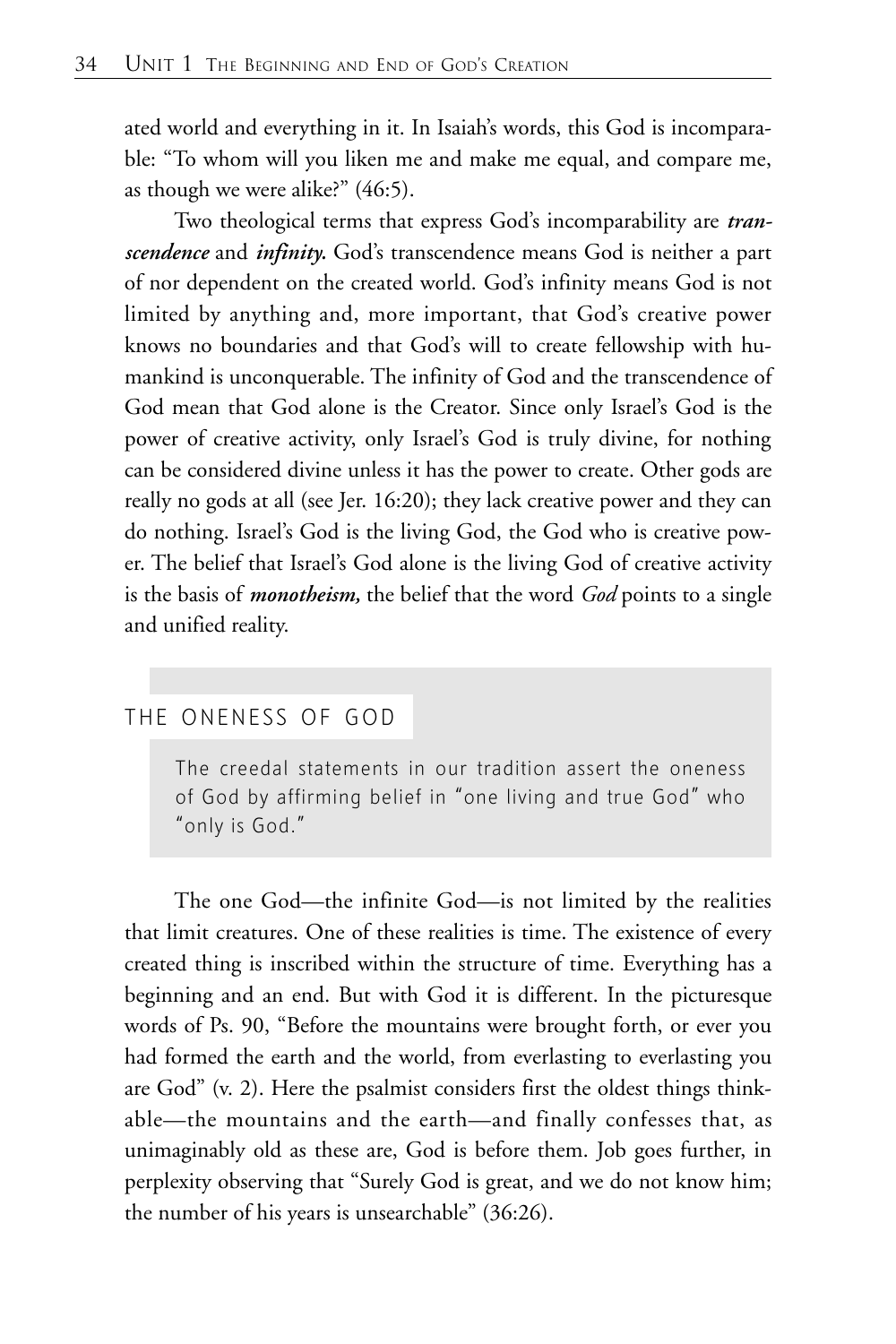ated world and everything in it. In Isaiah's words, this God is incomparable: "To whom will you liken me and make me equal, and compare me, as though we were alike?" (46:5).

Two theological terms that express God's incomparability are *transcendence* and *infinity.* God's transcendence means God is neither a part of nor dependent on the created world. God's infinity means God is not limited by anything and, more important, that God's creative power knows no boundaries and that God's will to create fellowship with humankind is unconquerable. The infinity of God and the transcendence of God mean that God alone is the Creator. Since only Israel's God is the power of creative activity, only Israel's God is truly divine, for nothing can be considered divine unless it has the power to create. Other gods are really no gods at all (see Jer. 16:20); they lack creative power and they can do nothing. Israel's God is the living God, the God who is creative power. The belief that Israel's God alone is the living God of creative activity is the basis of *monotheism,* the belief that the word *God* points to a single and unified reality.

#### THE ONENESS OF GOD

The creedal statements in our tradition assert the oneness of God by affirming belief in "one living and true God" who "only is God."

The one God—the infinite God—is not limited by the realities that limit creatures. One of these realities is time. The existence of every created thing is inscribed within the structure of time. Everything has a beginning and an end. But with God it is different. In the picturesque words of Ps. 90, "Before the mountains were brought forth, or ever you had formed the earth and the world, from everlasting to everlasting you are God" (v. 2). Here the psalmist considers first the oldest things thinkable—the mountains and the earth—and finally confesses that, as unimaginably old as these are, God is before them. Job goes further, in perplexity observing that "Surely God is great, and we do not know him; the number of his years is unsearchable" (36:26).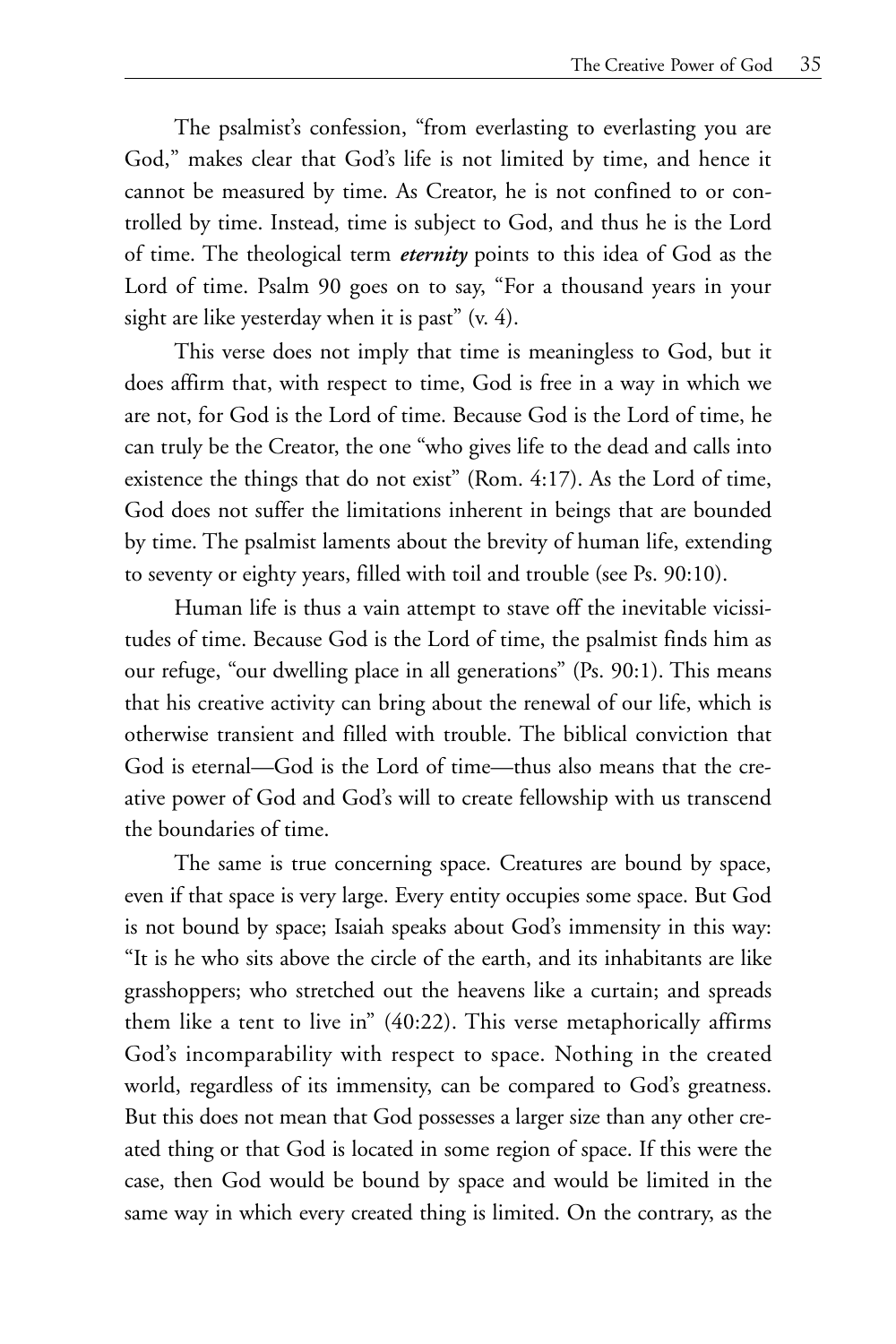The psalmist's confession, "from everlasting to everlasting you are God," makes clear that God's life is not limited by time, and hence it cannot be measured by time. As Creator, he is not confined to or controlled by time. Instead, time is subject to God, and thus he is the Lord of time. The theological term *eternity* points to this idea of God as the Lord of time. Psalm 90 goes on to say, "For a thousand years in your sight are like yesterday when it is past" (v. 4).

This verse does not imply that time is meaningless to God, but it does affirm that, with respect to time, God is free in a way in which we are not, for God is the Lord of time. Because God is the Lord of time, he can truly be the Creator, the one "who gives life to the dead and calls into existence the things that do not exist" (Rom. 4:17). As the Lord of time, God does not suffer the limitations inherent in beings that are bounded by time. The psalmist laments about the brevity of human life, extending to seventy or eighty years, filled with toil and trouble (see Ps. 90:10).

Human life is thus a vain attempt to stave off the inevitable vicissitudes of time. Because God is the Lord of time, the psalmist finds him as our refuge, "our dwelling place in all generations" (Ps. 90:1). This means that his creative activity can bring about the renewal of our life, which is otherwise transient and filled with trouble. The biblical conviction that God is eternal—God is the Lord of time—thus also means that the creative power of God and God's will to create fellowship with us transcend the boundaries of time.

The same is true concerning space. Creatures are bound by space, even if that space is very large. Every entity occupies some space. But God is not bound by space; Isaiah speaks about God's immensity in this way: "It is he who sits above the circle of the earth, and its inhabitants are like grasshoppers; who stretched out the heavens like a curtain; and spreads them like a tent to live in" (40:22). This verse metaphorically affirms God's incomparability with respect to space. Nothing in the created world, regardless of its immensity, can be compared to God's greatness. But this does not mean that God possesses a larger size than any other created thing or that God is located in some region of space. If this were the case, then God would be bound by space and would be limited in the same way in which every created thing is limited. On the contrary, as the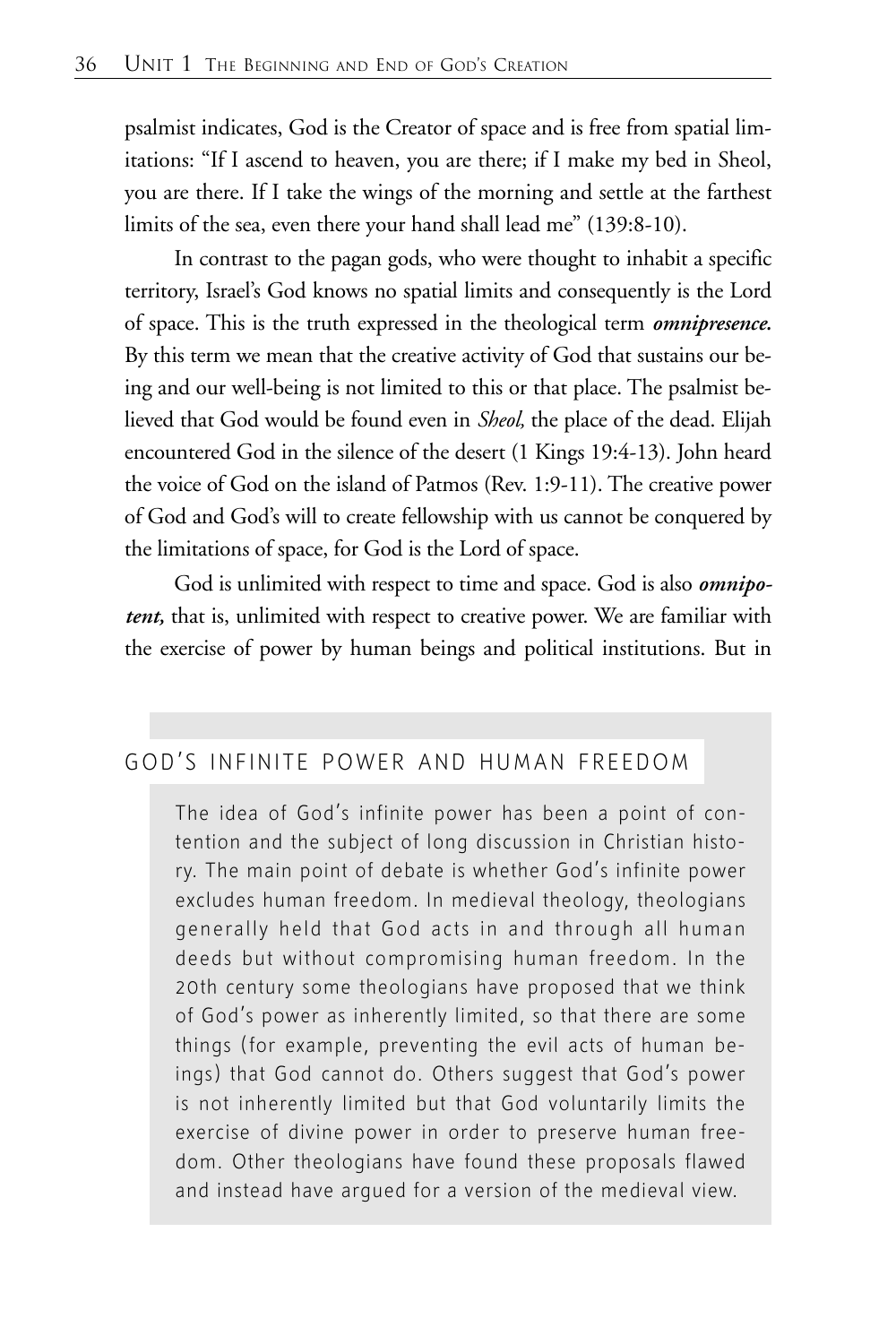psalmist indicates, God is the Creator of space and is free from spatial limitations: "If I ascend to heaven, you are there; if I make my bed in Sheol, you are there. If I take the wings of the morning and settle at the farthest limits of the sea, even there your hand shall lead me" (139:8-10).

In contrast to the pagan gods, who were thought to inhabit a specific territory, Israel's God knows no spatial limits and consequently is the Lord of space. This is the truth expressed in the theological term *omnipresence.* By this term we mean that the creative activity of God that sustains our being and our well-being is not limited to this or that place. The psalmist believed that God would be found even in *Sheol,* the place of the dead. Elijah encountered God in the silence of the desert (1 Kings 19:4-13). John heard the voice of God on the island of Patmos (Rev. 1:9-11). The creative power of God and God's will to create fellowship with us cannot be conquered by the limitations of space, for God is the Lord of space.

God is unlimited with respect to time and space. God is also *omnipotent,* that is, unlimited with respect to creative power. We are familiar with the exercise of power by human beings and political institutions. But in

## GOD'S INFINITE POWER AND HUMAN FREEDOM

The idea of God's infinite power has been a point of contention and the subject of long discussion in Christian history. The main point of debate is whether God's infinite power excludes human freedom. In medieval theology, theologians generally held that God acts in and through all human deeds but without compromising human freedom. In the 20th century some theologians have proposed that we think of God's power as inherently limited, so that there are some things (for example, preventing the evil acts of human beings) that God cannot do. Others suggest that God's power is not inherently limited but that God voluntarily limits the exercise of divine power in order to preserve human freedom. Other theologians have found these proposals flawed and instead have argued for a version of the medieval view.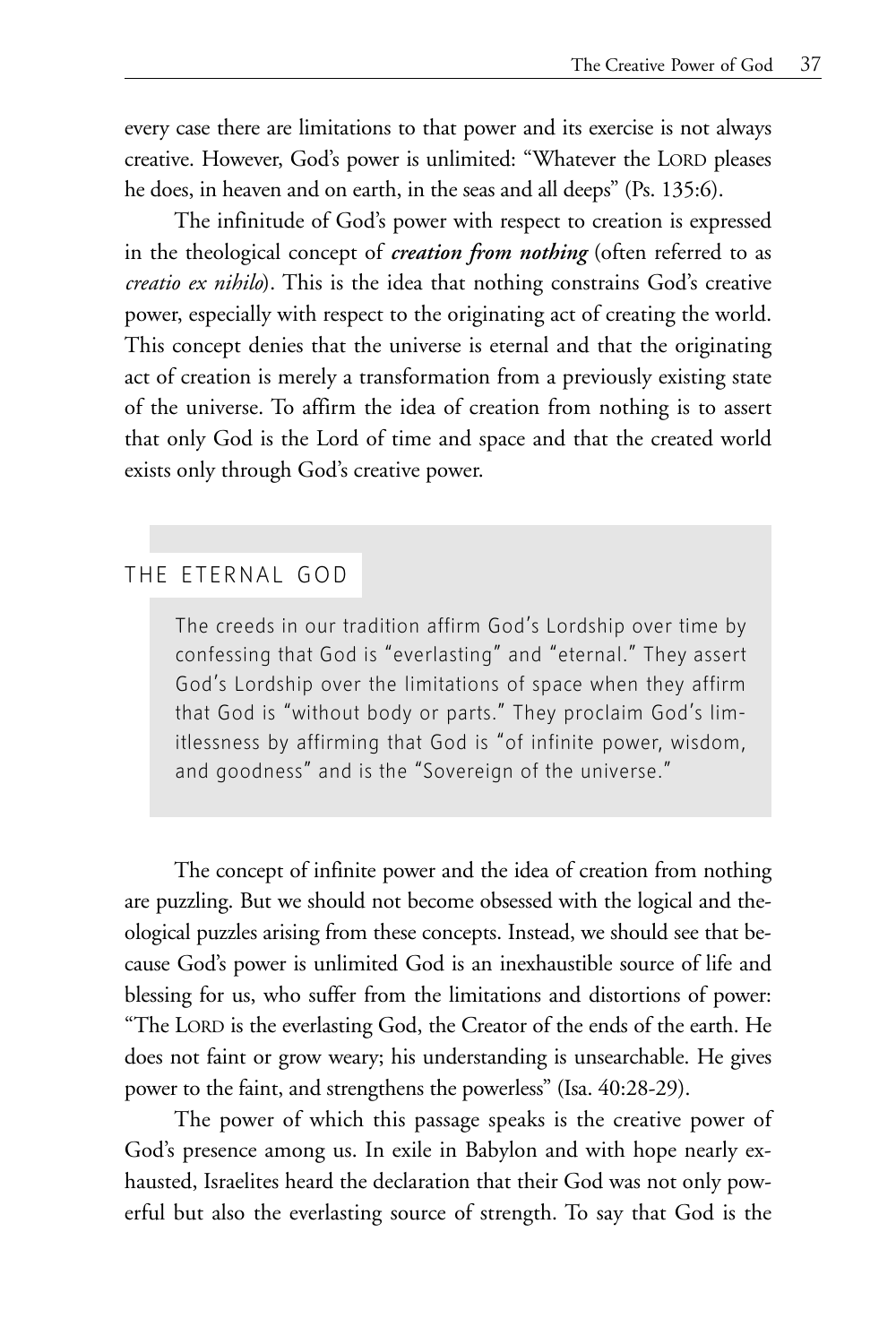every case there are limitations to that power and its exercise is not always creative. However, God's power is unlimited: "Whatever the LORD pleases he does, in heaven and on earth, in the seas and all deeps" (Ps. 135:6).

The infinitude of God's power with respect to creation is expressed in the theological concept of *creation from nothing* (often referred to as *creatio ex nihilo*). This is the idea that nothing constrains God's creative power, especially with respect to the originating act of creating the world. This concept denies that the universe is eternal and that the originating act of creation is merely a transformation from a previously existing state of the universe. To affirm the idea of creation from nothing is to assert that only God is the Lord of time and space and that the created world exists only through God's creative power.

### THE ETERNAL GOD

The creeds in our tradition affirm God's Lordship over time by confessing that God is "everlasting" and "eternal." They assert God's Lordship over the limitations of space when they affirm that God is "without body or parts." They proclaim God's limitlessness by affirming that God is "of infinite power, wisdom, and goodness" and is the "Sovereign of the universe."

The concept of infinite power and the idea of creation from nothing are puzzling. But we should not become obsessed with the logical and theological puzzles arising from these concepts. Instead, we should see that because God's power is unlimited God is an inexhaustible source of life and blessing for us, who suffer from the limitations and distortions of power: "The LORD is the everlasting God, the Creator of the ends of the earth. He does not faint or grow weary; his understanding is unsearchable. He gives power to the faint, and strengthens the powerless" (Isa. 40:28-29).

The power of which this passage speaks is the creative power of God's presence among us. In exile in Babylon and with hope nearly exhausted, Israelites heard the declaration that their God was not only powerful but also the everlasting source of strength. To say that God is the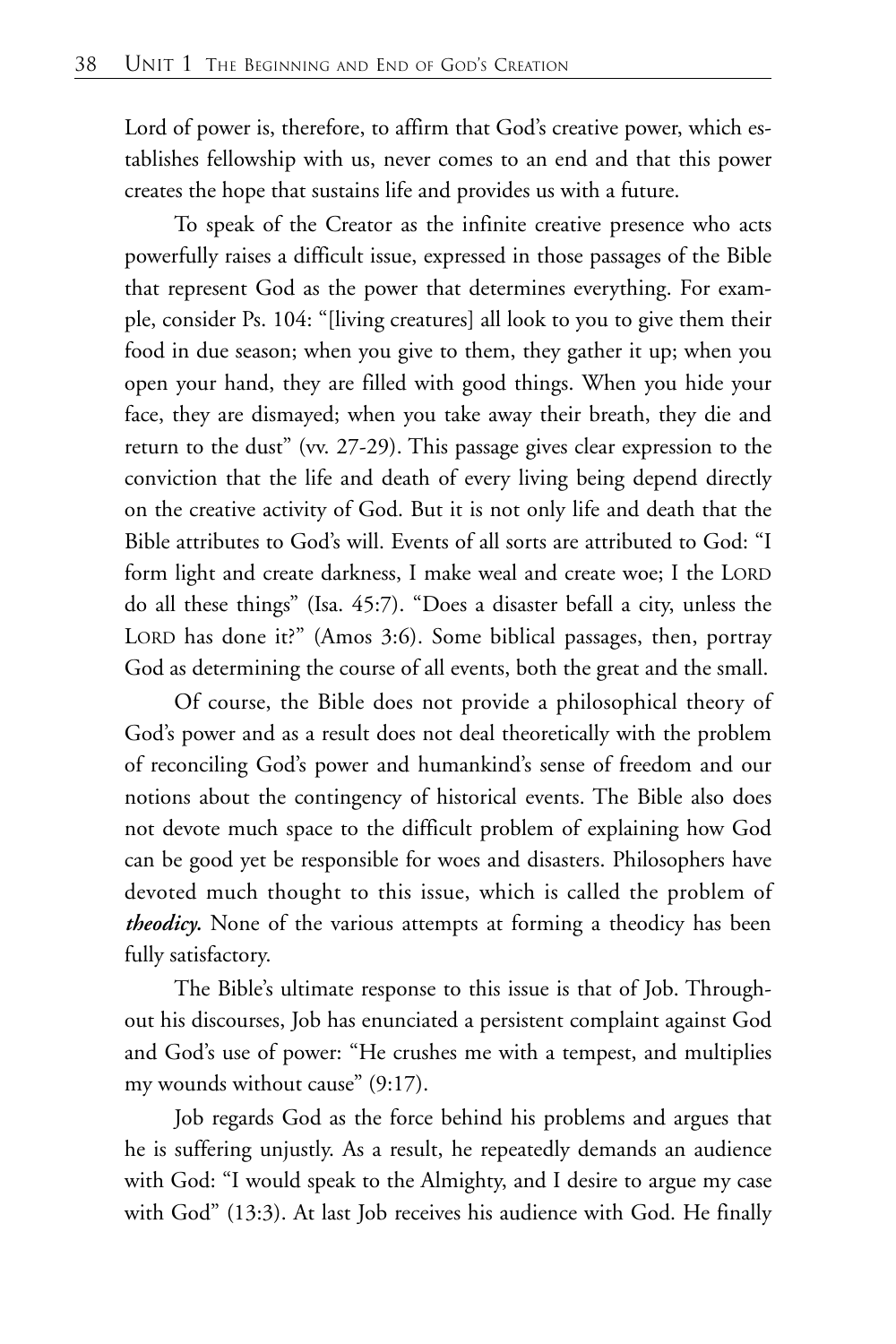Lord of power is, therefore, to affirm that God's creative power, which establishes fellowship with us, never comes to an end and that this power creates the hope that sustains life and provides us with a future.

To speak of the Creator as the infinite creative presence who acts powerfully raises a difficult issue, expressed in those passages of the Bible that represent God as the power that determines everything. For example, consider Ps. 104: "[living creatures] all look to you to give them their food in due season; when you give to them, they gather it up; when you open your hand, they are filled with good things. When you hide your face, they are dismayed; when you take away their breath, they die and return to the dust" (vv. 27-29). This passage gives clear expression to the conviction that the life and death of every living being depend directly on the creative activity of God. But it is not only life and death that the Bible attributes to God's will. Events of all sorts are attributed to God: "I form light and create darkness, I make weal and create woe; I the LORD do all these things" (Isa. 45:7). "Does a disaster befall a city, unless the LORD has done it?" (Amos 3:6). Some biblical passages, then, portray God as determining the course of all events, both the great and the small.

Of course, the Bible does not provide a philosophical theory of God's power and as a result does not deal theoretically with the problem of reconciling God's power and humankind's sense of freedom and our notions about the contingency of historical events. The Bible also does not devote much space to the difficult problem of explaining how God can be good yet be responsible for woes and disasters. Philosophers have devoted much thought to this issue, which is called the problem of *theodicy.* None of the various attempts at forming a theodicy has been fully satisfactory.

The Bible's ultimate response to this issue is that of Job. Throughout his discourses, Job has enunciated a persistent complaint against God and God's use of power: "He crushes me with a tempest, and multiplies my wounds without cause" (9:17).

Job regards God as the force behind his problems and argues that he is suffering unjustly. As a result, he repeatedly demands an audience with God: "I would speak to the Almighty, and I desire to argue my case with God" (13:3). At last Job receives his audience with God. He finally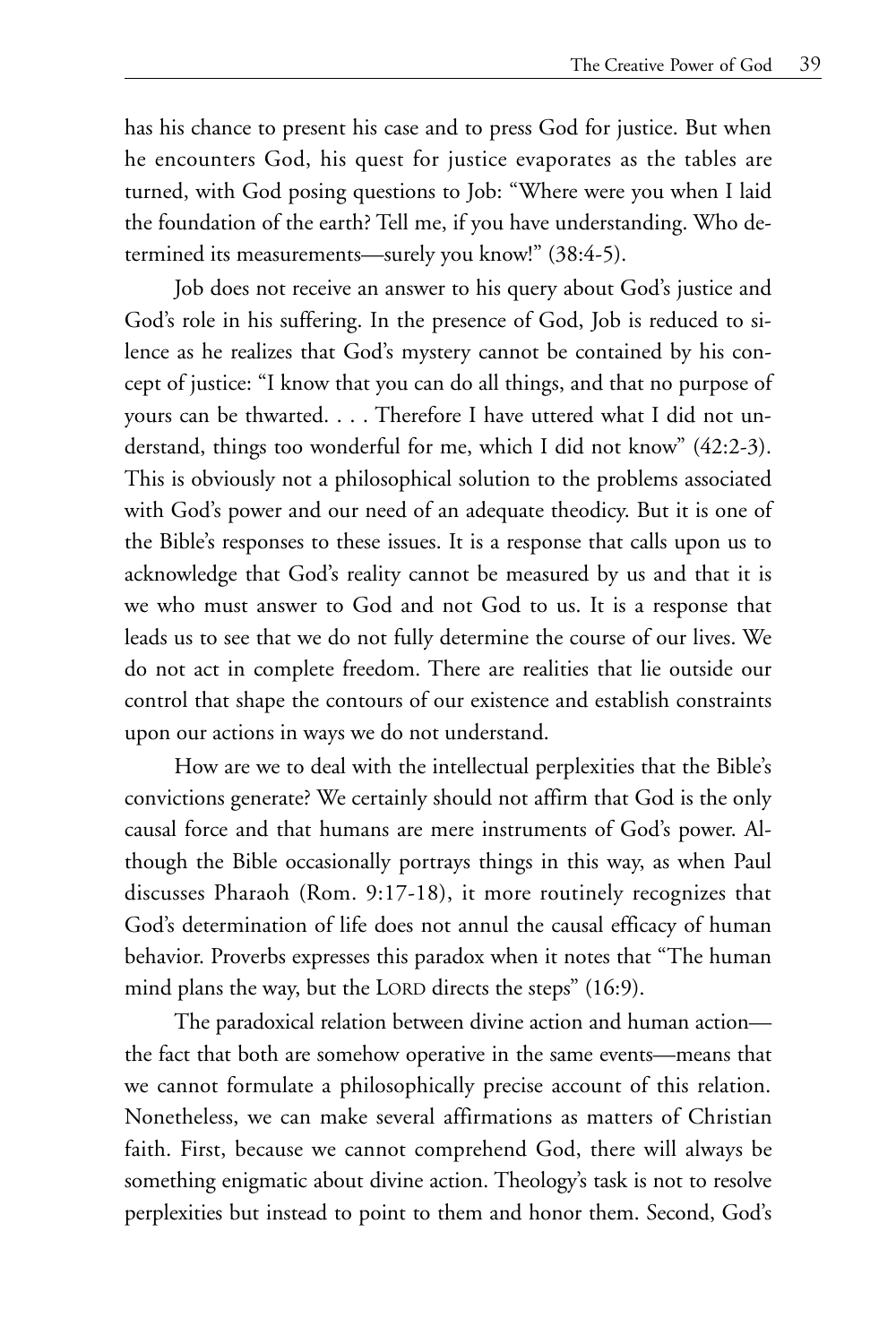has his chance to present his case and to press God for justice. But when he encounters God, his quest for justice evaporates as the tables are turned, with God posing questions to Job: "Where were you when I laid the foundation of the earth? Tell me, if you have understanding. Who determined its measurements—surely you know!" (38:4-5).

Job does not receive an answer to his query about God's justice and God's role in his suffering. In the presence of God, Job is reduced to silence as he realizes that God's mystery cannot be contained by his concept of justice: "I know that you can do all things, and that no purpose of yours can be thwarted. . . . Therefore I have uttered what I did not understand, things too wonderful for me, which I did not know" (42:2-3). This is obviously not a philosophical solution to the problems associated with God's power and our need of an adequate theodicy. But it is one of the Bible's responses to these issues. It is a response that calls upon us to acknowledge that God's reality cannot be measured by us and that it is we who must answer to God and not God to us. It is a response that leads us to see that we do not fully determine the course of our lives. We do not act in complete freedom. There are realities that lie outside our control that shape the contours of our existence and establish constraints upon our actions in ways we do not understand.

How are we to deal with the intellectual perplexities that the Bible's convictions generate? We certainly should not affirm that God is the only causal force and that humans are mere instruments of God's power. Although the Bible occasionally portrays things in this way, as when Paul discusses Pharaoh (Rom. 9:17-18), it more routinely recognizes that God's determination of life does not annul the causal efficacy of human behavior. Proverbs expresses this paradox when it notes that "The human mind plans the way, but the LORD directs the steps" (16:9).

The paradoxical relation between divine action and human action the fact that both are somehow operative in the same events—means that we cannot formulate a philosophically precise account of this relation. Nonetheless, we can make several affirmations as matters of Christian faith. First, because we cannot comprehend God, there will always be something enigmatic about divine action. Theology's task is not to resolve perplexities but instead to point to them and honor them. Second, God's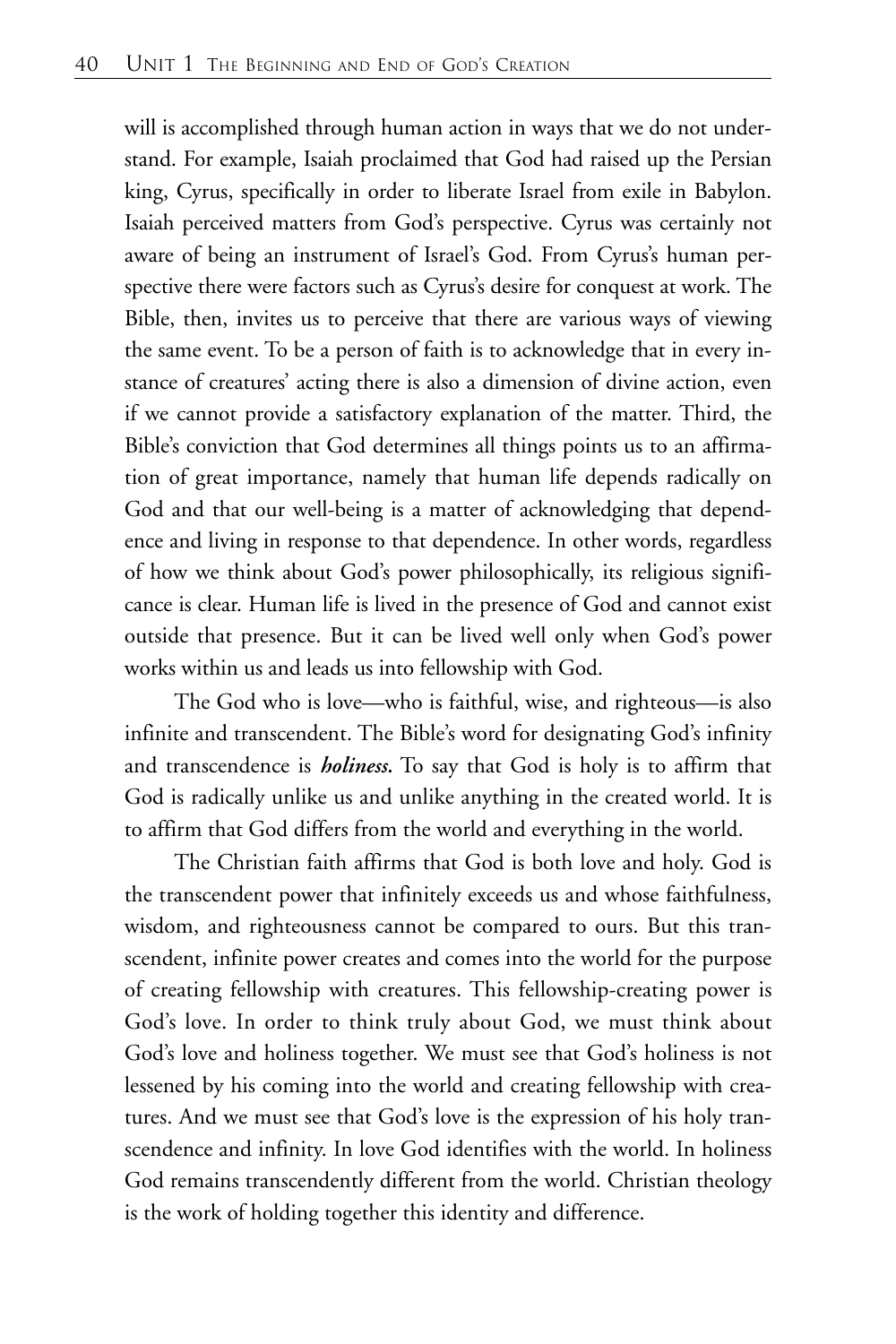will is accomplished through human action in ways that we do not understand. For example, Isaiah proclaimed that God had raised up the Persian king, Cyrus, specifically in order to liberate Israel from exile in Babylon. Isaiah perceived matters from God's perspective. Cyrus was certainly not aware of being an instrument of Israel's God. From Cyrus's human perspective there were factors such as Cyrus's desire for conquest at work. The Bible, then, invites us to perceive that there are various ways of viewing the same event. To be a person of faith is to acknowledge that in every instance of creatures' acting there is also a dimension of divine action, even if we cannot provide a satisfactory explanation of the matter. Third, the Bible's conviction that God determines all things points us to an affirmation of great importance, namely that human life depends radically on God and that our well-being is a matter of acknowledging that dependence and living in response to that dependence. In other words, regardless of how we think about God's power philosophically, its religious significance is clear. Human life is lived in the presence of God and cannot exist outside that presence. But it can be lived well only when God's power works within us and leads us into fellowship with God.

The God who is love—who is faithful, wise, and righteous—is also infinite and transcendent. The Bible's word for designating God's infinity and transcendence is *holiness.* To say that God is holy is to affirm that God is radically unlike us and unlike anything in the created world. It is to affirm that God differs from the world and everything in the world.

The Christian faith affirms that God is both love and holy. God is the transcendent power that infinitely exceeds us and whose faithfulness, wisdom, and righteousness cannot be compared to ours. But this transcendent, infinite power creates and comes into the world for the purpose of creating fellowship with creatures. This fellowship-creating power is God's love. In order to think truly about God, we must think about God's love and holiness together. We must see that God's holiness is not lessened by his coming into the world and creating fellowship with creatures. And we must see that God's love is the expression of his holy transcendence and infinity. In love God identifies with the world. In holiness God remains transcendently different from the world. Christian theology is the work of holding together this identity and difference.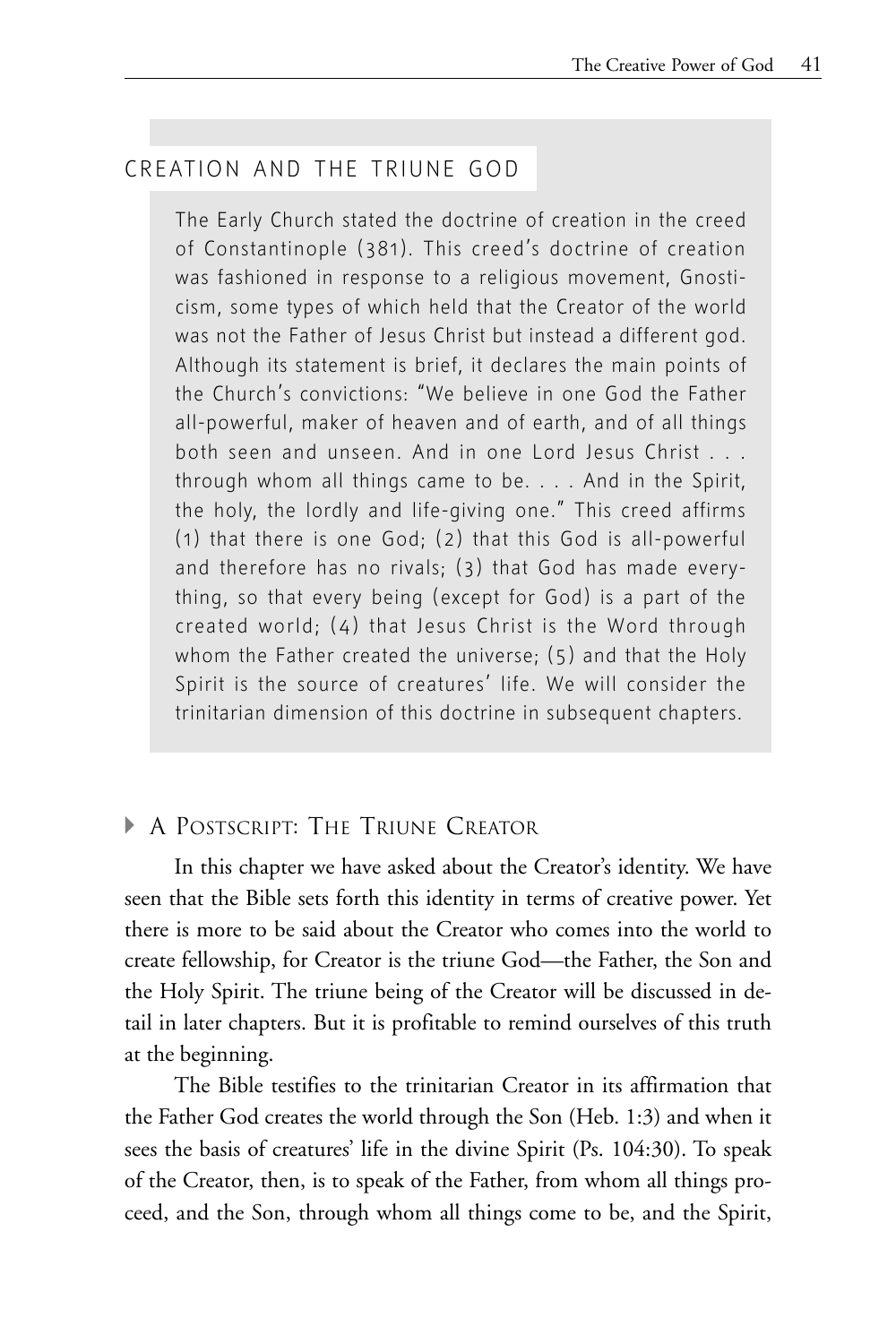## CREATION AND THE TRIUNE GOD

The Early Church stated the doctrine of creation in the creed of Constantinople (381). This creed's doctrine of creation was fashioned in response to a religious movement, Gnosticism, some types of which held that the Creator of the world was not the Father of Jesus Christ but instead a different god. Although its statement is brief, it declares the main points of the Church's convictions: "We believe in one God the Father all-powerful, maker of heaven and of earth, and of all things both seen and unseen. And in one Lord Jesus Christ . . . through whom all things came to be. . . . And in the Spirit, the holy, the lordly and life-giving one." This creed affirms (1) that there is one God; (2) that this God is all-powerful and therefore has no rivals; (3) that God has made everything, so that every being (except for God) is a part of the created world; (4) that Jesus Christ is the Word through whom the Father created the universe; (5) and that the Holy Spirit is the source of creatures' life. We will consider the trinitarian dimension of this doctrine in subsequent chapters.

## **A POSTSCRIPT: THE TRIUNE CREATOR**

In this chapter we have asked about the Creator's identity. We have seen that the Bible sets forth this identity in terms of creative power. Yet there is more to be said about the Creator who comes into the world to create fellowship, for Creator is the triune God—the Father, the Son and the Holy Spirit. The triune being of the Creator will be discussed in detail in later chapters. But it is profitable to remind ourselves of this truth at the beginning.

The Bible testifies to the trinitarian Creator in its affirmation that the Father God creates the world through the Son (Heb. 1:3) and when it sees the basis of creatures' life in the divine Spirit (Ps. 104:30). To speak of the Creator, then, is to speak of the Father, from whom all things proceed, and the Son, through whom all things come to be, and the Spirit,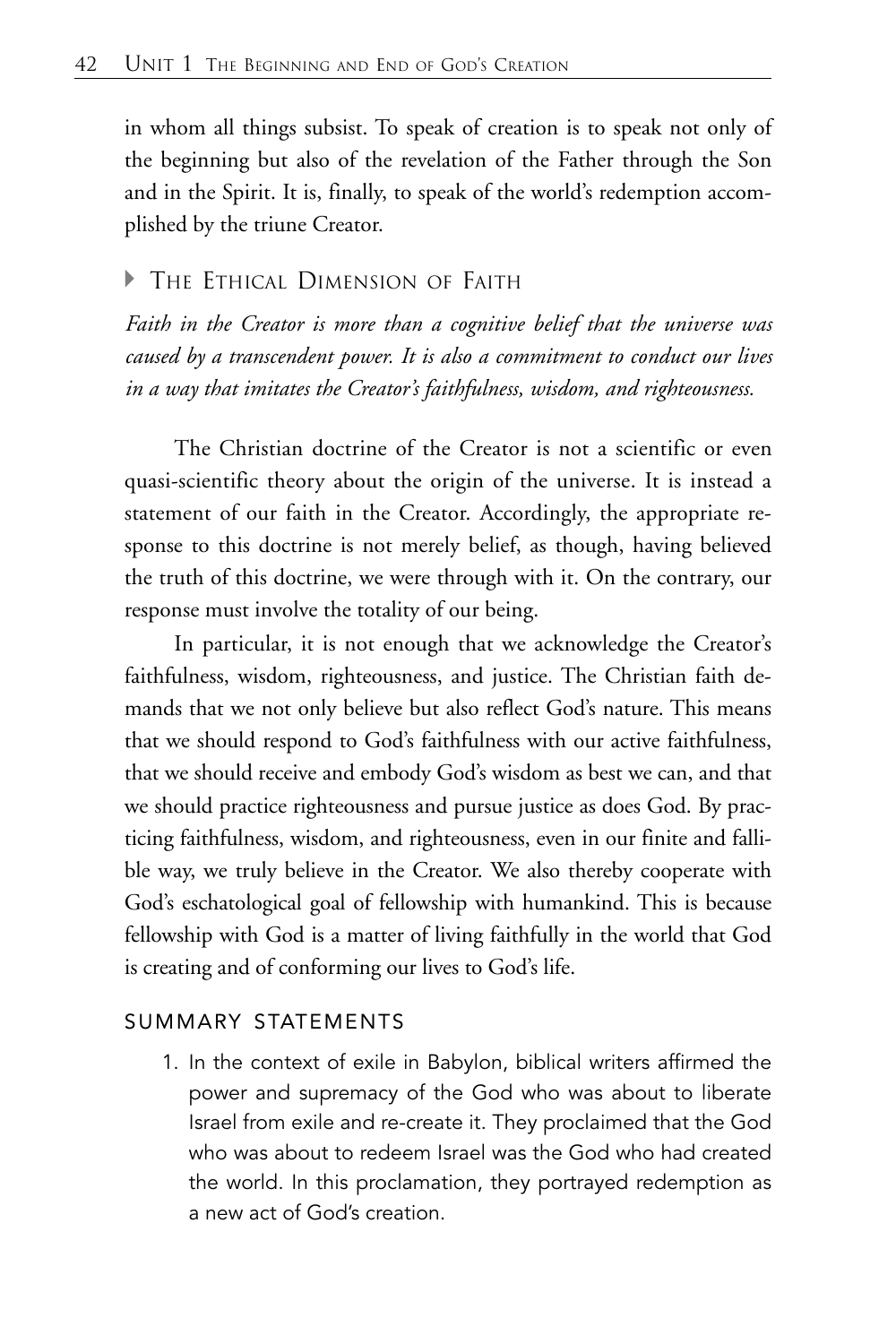in whom all things subsist. To speak of creation is to speak not only of the beginning but also of the revelation of the Father through the Son and in the Spirit. It is, finally, to speak of the world's redemption accomplished by the triune Creator.

## **F** THE ETHICAL DIMENSION OF FAITH

*Faith in the Creator is more than a cognitive belief that the universe was caused by a transcendent power. It is also a commitment to conduct our lives in a way that imitates the Creator's faithfulness, wisdom, and righteousness.*

The Christian doctrine of the Creator is not a scientific or even quasi-scientific theory about the origin of the universe. It is instead a statement of our faith in the Creator. Accordingly, the appropriate response to this doctrine is not merely belief, as though, having believed the truth of this doctrine, we were through with it. On the contrary, our response must involve the totality of our being.

In particular, it is not enough that we acknowledge the Creator's faithfulness, wisdom, righteousness, and justice. The Christian faith demands that we not only believe but also reflect God's nature. This means that we should respond to God's faithfulness with our active faithfulness, that we should receive and embody God's wisdom as best we can, and that we should practice righteousness and pursue justice as does God. By practicing faithfulness, wisdom, and righteousness, even in our finite and fallible way, we truly believe in the Creator. We also thereby cooperate with God's eschatological goal of fellowship with humankind. This is because fellowship with God is a matter of living faithfully in the world that God is creating and of conforming our lives to God's life.

## SUMMARY STATEMENTS

1. In the context of exile in Babylon, biblical writers affirmed the power and supremacy of the God who was about to liberate Israel from exile and re-create it. They proclaimed that the God who was about to redeem Israel was the God who had created the world. In this proclamation, they portrayed redemption as a new act of God's creation.